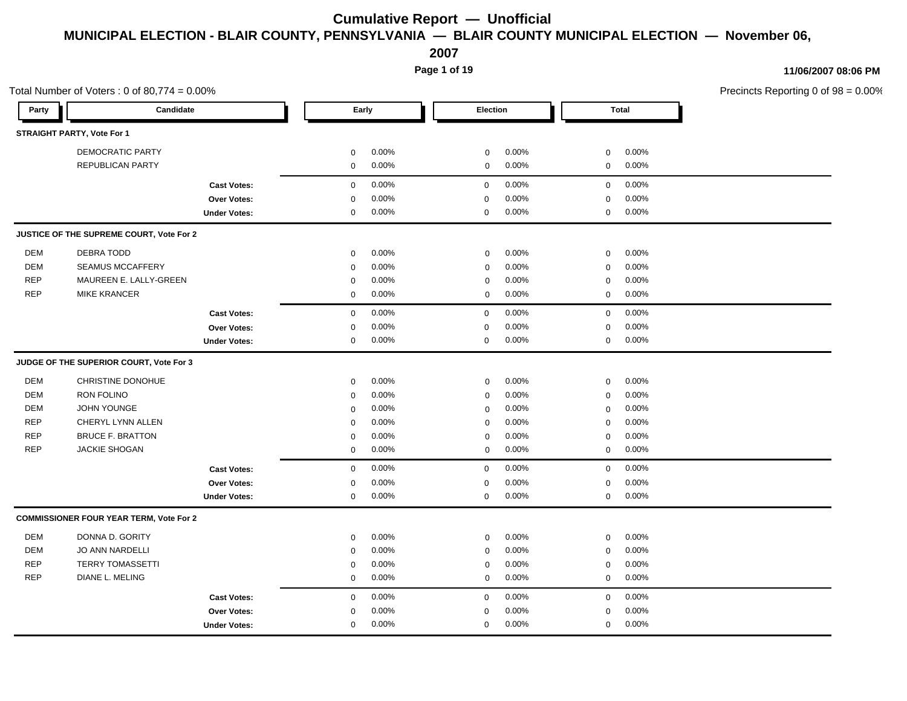**2007**

**Page 1 of 19**

Total Number of Voters :  $0$  of 80,774 =  $0.00\%$ Precincts Reporting 0 of 98 = 0.00% **Party Candidate Early Election Total STRAIGHT PARTY, Vote For 1** DEMOCRATIC PARTY 0 0.00% 0 0.00% 0 0.00% REPUBLICAN PARTY 0 0.00% 0 0.00% 0 0.00% **Cast Votes:** 0 0.00% 0 0.00% 0 0.00% **Over Votes:** 0 0.00% **Under Votes:** 0 0.00% 0 0.00% 0 0.00% 0 0.00% 0.00% 0 0.00% 0.00% 0.00% **JUSTICE OF THE SUPREME COURT, Vote For 2** DEM DEBRA TODD 0 0.00% 0 0.00% 0 0.00% DEM SEAMUS MCCAFFERY 0 0.00% 0 0.00% 0 0.00% REP MAUREEN E. LALLY-GREEN 0 0.00% 0 0.00% 0 0.00% REP MIKE KRANCER 0 0.00% 0 0.00% 0 0.00% **Cast Votes:** 0 0.00% 0 0.00% 0 0.00% **Over Votes:** 0 0.00% **Under Votes:** 0 0.00% 0  $0.00\%$  and  $0.00\%$  and  $0.00\%$  are  $0.00\%$ 0.00% 0 0.00% 0.00% 0.00% **JUDGE OF THE SUPERIOR COURT, Vote For 3** DEM CHRISTINE DONOHUE 0 0.00% 0 0.00% 0 0.00% DEM RON FOLINO 0 0.00% 0 0.00% 0 0.00% DEM JOHN YOUNGE 0 0.00% 0 0.00% 0 0.00% REP CHERYL LYNN ALLEN 0 0.00% 0 0.00% 0 0.00% REP BRUCE F. BRATTON 0 0.00% 0 0.00% 0 0.00% REP JACKIE SHOGAN 0 0.00% 0 0.00% 0 0.00% **Cast Votes:** 0 0.00% 0 0.00% 0 0.00% **Over Votes:** 0 **Under Votes:** 0 0.00% 0.00%  $0.00%$  0 0 0.00% 0.00% 0.00% 0 0.00% **COMMISSIONER FOUR YEAR TERM, Vote For 2** DEM DONNA D. GORITY 0 0.00% 0 0.00% 0 0.00% DEM JO ANN NARDELLI 0 0.00% 0 0.00% 0 0.00% REP TERRY TOMASSETTI 0 0.00% 0 0.00% 0 0.00% REP DIANE L. MELING 0 0.00% 0 0.00% 0 0.00% **Cast Votes:** 0 0.00% 0 0.00% 0 0.00% **Over Votes:** 0 **Under Votes:** 0 0.00% 0 0.00% 0 0.00% 0 0.00% 0.00% 0 0.00% 0.00% 0.00%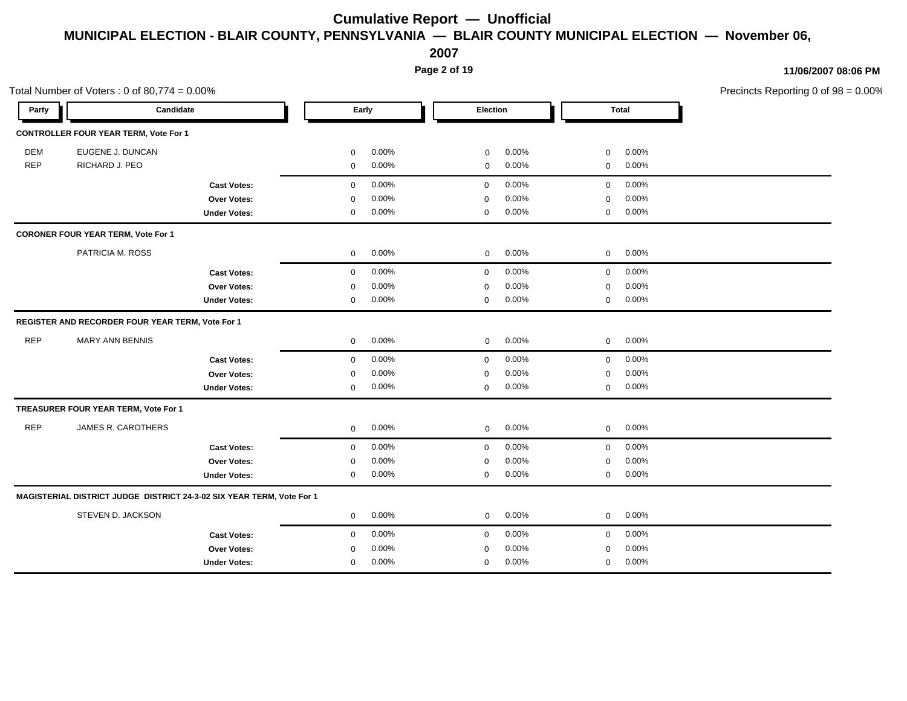**2007**

**Page 2 of 19**

|            | Total Number of Voters: $0$ of 80,774 = $0.00\%$                      |                            |                            | Precincts Reporting 0 of 98 = 0.00% |  |
|------------|-----------------------------------------------------------------------|----------------------------|----------------------------|-------------------------------------|--|
| Party      | Candidate                                                             | Early                      | Election                   | Total                               |  |
|            | <b>CONTROLLER FOUR YEAR TERM, Vote For 1</b>                          |                            |                            |                                     |  |
| <b>DEM</b> | EUGENE J. DUNCAN                                                      | $0.00\%$<br>$\mathbf{0}$   | 0.00%<br>$\mathbf 0$       | 0.00%<br>$\mathbf 0$                |  |
| REP        | RICHARD J. PEO                                                        | $0.00\%$<br>$\mathbf 0$    | 0.00%<br>$\mathbf{0}$      | 0.00%<br>$\overline{0}$             |  |
|            | <b>Cast Votes:</b>                                                    | $0.00\%$<br>$\mathbf 0$    | $0.00\%$<br>$\overline{0}$ | $0$ 0.00%                           |  |
|            | Over Votes:                                                           | $0.00\%$<br>$\Omega$       | $0.00\%$<br>$\mathbf{0}$   | 0.00%<br>$\overline{0}$             |  |
|            | <b>Under Votes:</b>                                                   | $0.00\%$<br>0              | 0.00%<br>0                 | 0.00%<br>$\mathbf 0$                |  |
|            | <b>CORONER FOUR YEAR TERM, Vote For 1</b>                             |                            |                            |                                     |  |
|            | PATRICIA M. ROSS                                                      | $0.00\%$<br>$\overline{0}$ | $0.00\%$<br>$\overline{0}$ | $0\qquad 0.00\%$                    |  |
|            | <b>Cast Votes:</b>                                                    | 0.00%<br>$\mathbf 0$       | $0.00\%$<br>$\overline{0}$ | $0\qquad 0.00\%$                    |  |
|            | Over Votes:                                                           | 0.00%<br>0                 | 0.00%<br>$\mathbf{0}$      | 0.00%<br>$\overline{0}$             |  |
|            | <b>Under Votes:</b>                                                   | $0.00\%$<br>$\mathbf 0$    | $0.00\%$<br>$\mathbf 0$    | $0\quad 0.00\%$                     |  |
|            | REGISTER AND RECORDER FOUR YEAR TERM, Vote For 1                      |                            |                            |                                     |  |
| REP        | <b>MARY ANN BENNIS</b>                                                | 0.00%<br>$\overline{0}$    | $0.00\%$<br>$\overline{0}$ | $0 0.00\%$                          |  |
|            | <b>Cast Votes:</b>                                                    | $0.00\%$<br>$\overline{0}$ | $0.00\%$<br>$\overline{0}$ | $0$ 0.00%                           |  |
|            | Over Votes:                                                           | $0.00\%$<br>0              | 0.00%<br>0                 | 0.00%<br>$\mathbf 0$                |  |
|            | <b>Under Votes:</b>                                                   | $0.00\%$<br>$\mathbf 0$    | 0.00%<br>$\mathbf 0$       | $0.00\%$<br>$\overline{0}$          |  |
|            | TREASURER FOUR YEAR TERM, Vote For 1                                  |                            |                            |                                     |  |
| REP        | JAMES R. CAROTHERS                                                    | $0.00\%$<br>$\overline{0}$ | $0.00\%$<br>$\overline{0}$ | $0\qquad 0.00\%$                    |  |
|            | <b>Cast Votes:</b>                                                    | 0.00%<br>$\mathbf 0$       | $0.00\%$<br>$\mathbf{0}$   | $0.00\%$<br>$\overline{0}$          |  |
|            | Over Votes:                                                           | $0.00\%$<br>$\mathbf 0$    | 0.00%<br>$\mathbf 0$       | 0.00%<br>$\mathbf 0$                |  |
|            | <b>Under Votes:</b>                                                   | $0.00\%$<br>$\mathbf{0}$   | 0.00%<br>0                 | $0\qquad 0.00\%$                    |  |
|            | MAGISTERIAL DISTRICT JUDGE DISTRICT 24-3-02 SIX YEAR TERM, Vote For 1 |                            |                            |                                     |  |
|            | STEVEN D. JACKSON                                                     | $0\qquad 0.00\%$           | 0.00%<br>$\overline{0}$    | $0$ 0.00%                           |  |
|            | <b>Cast Votes:</b>                                                    | 0.00%<br>$\mathbf{0}$      | $0.00\%$<br>$\mathbf{0}$   | 0.00%<br>$\mathbf 0$                |  |
|            | Over Votes:                                                           | 0.00%<br>$\Omega$          | $0.00\%$<br>$\Omega$       | 0.00%<br>$\mathbf 0$                |  |
|            | <b>Under Votes:</b>                                                   | $0.00\%$<br>$\mathbf{0}$   | 0.00%<br>0                 | $0.00\%$<br>$\mathbf 0$             |  |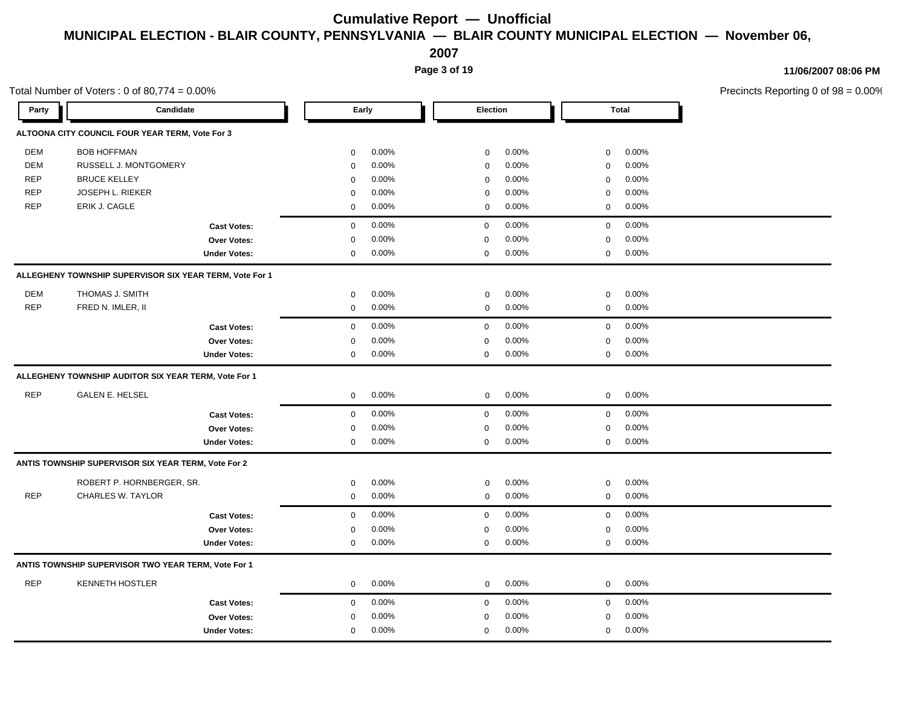**2007**

**Page 3 of 19**

|            | Total Number of Voters: $0$ of 80,774 = $0.00\%$        |                     |             |       |                 |       |                  |              | Precincts Reporting 0 of 98 = 0.00% |
|------------|---------------------------------------------------------|---------------------|-------------|-------|-----------------|-------|------------------|--------------|-------------------------------------|
| Party      | Candidate                                               |                     |             | Early | <b>Election</b> |       |                  | <b>Total</b> |                                     |
|            | ALTOONA CITY COUNCIL FOUR YEAR TERM, Vote For 3         |                     |             |       |                 |       |                  |              |                                     |
| DEM        | <b>BOB HOFFMAN</b>                                      |                     | $\mathbf 0$ | 0.00% | 0               | 0.00% | $\mathbf 0$      | 0.00%        |                                     |
| DEM        | RUSSELL J. MONTGOMERY                                   |                     | $\mathbf 0$ | 0.00% | 0               | 0.00% | $\mathbf 0$      | 0.00%        |                                     |
| <b>REP</b> | <b>BRUCE KELLEY</b>                                     |                     | $\mathbf 0$ | 0.00% | 0               | 0.00% | $\mathbf 0$      | 0.00%        |                                     |
| <b>REP</b> | JOSEPH L. RIEKER                                        |                     | $\mathbf 0$ | 0.00% | 0               | 0.00% | $\mathbf 0$      | 0.00%        |                                     |
| <b>REP</b> | ERIK J. CAGLE                                           |                     | $\mathbf 0$ | 0.00% | 0               | 0.00% | $\mathbf 0$      | 0.00%        |                                     |
|            |                                                         | <b>Cast Votes:</b>  | $\mathsf 0$ | 0.00% | $\mathbf 0$     | 0.00% | $\mathbf 0$      | 0.00%        |                                     |
|            |                                                         | Over Votes:         | $\mathbf 0$ | 0.00% | $\mathbf 0$     | 0.00% | $\mathbf 0$      | 0.00%        |                                     |
|            |                                                         | <b>Under Votes:</b> | $\mathbf 0$ | 0.00% | 0               | 0.00% | $\boldsymbol{0}$ | 0.00%        |                                     |
|            | ALLEGHENY TOWNSHIP SUPERVISOR SIX YEAR TERM, Vote For 1 |                     |             |       |                 |       |                  |              |                                     |
| <b>DEM</b> | THOMAS J. SMITH                                         |                     | $\mathbf 0$ | 0.00% | 0               | 0.00% | $\mathbf 0$      | 0.00%        |                                     |
| <b>REP</b> | FRED N. IMLER, II                                       |                     | $\mathbf 0$ | 0.00% | 0               | 0.00% | $\mathbf 0$      | 0.00%        |                                     |
|            |                                                         | <b>Cast Votes:</b>  | $\mathbf 0$ | 0.00% | $\mathbf 0$     | 0.00% | $\mathbf 0$      | 0.00%        |                                     |
|            |                                                         | Over Votes:         | $\mathbf 0$ | 0.00% | $\mathbf 0$     | 0.00% | $\mathbf 0$      | 0.00%        |                                     |
|            |                                                         | <b>Under Votes:</b> | $\mathbf 0$ | 0.00% | 0               | 0.00% | $\mathbf 0$      | 0.00%        |                                     |
|            | ALLEGHENY TOWNSHIP AUDITOR SIX YEAR TERM, Vote For 1    |                     |             |       |                 |       |                  |              |                                     |
| <b>REP</b> | <b>GALEN E. HELSEL</b>                                  |                     | $\mathbf 0$ | 0.00% | 0               | 0.00% | $\mathbf 0$      | 0.00%        |                                     |
|            |                                                         | <b>Cast Votes:</b>  | $\mathbf 0$ | 0.00% | $\mathbf 0$     | 0.00% | $\mathbf 0$      | 0.00%        |                                     |
|            |                                                         | Over Votes:         | 0           | 0.00% | 0               | 0.00% | 0                | 0.00%        |                                     |
|            |                                                         | <b>Under Votes:</b> | $\mathbf 0$ | 0.00% | 0               | 0.00% | $\mathbf 0$      | $0.00\%$     |                                     |
|            | ANTIS TOWNSHIP SUPERVISOR SIX YEAR TERM, Vote For 2     |                     |             |       |                 |       |                  |              |                                     |
|            | ROBERT P. HORNBERGER, SR.                               |                     | $\mathbf 0$ | 0.00% | 0               | 0.00% | $\mathbf 0$      | 0.00%        |                                     |
| <b>REP</b> | CHARLES W. TAYLOR                                       |                     | $\mathbf 0$ | 0.00% | 0               | 0.00% | $\mathbf 0$      | 0.00%        |                                     |
|            |                                                         | <b>Cast Votes:</b>  | $\mathbf 0$ | 0.00% | 0               | 0.00% | $\mathbf 0$      | 0.00%        |                                     |
|            |                                                         | Over Votes:         | $\mathbf 0$ | 0.00% | $\mathbf 0$     | 0.00% | $\mathbf 0$      | $0.00\%$     |                                     |
|            |                                                         | <b>Under Votes:</b> | $\mathbf 0$ | 0.00% | 0               | 0.00% | $\mathbf 0$      | $0.00\%$     |                                     |
|            | ANTIS TOWNSHIP SUPERVISOR TWO YEAR TERM, Vote For 1     |                     |             |       |                 |       |                  |              |                                     |
| <b>REP</b> | <b>KENNETH HOSTLER</b>                                  |                     | $\mathbf 0$ | 0.00% | 0               | 0.00% | $\mathbf 0$      | 0.00%        |                                     |
|            |                                                         | <b>Cast Votes:</b>  | $\mathbf 0$ | 0.00% | $\mathbf 0$     | 0.00% | $\mathbf 0$      | 0.00%        |                                     |
|            |                                                         | Over Votes:         | $\mathbf 0$ | 0.00% | 0               | 0.00% | $\mathbf 0$      | 0.00%        |                                     |
|            |                                                         | <b>Under Votes:</b> | $\mathbf 0$ | 0.00% | $\mathbf 0$     | 0.00% | $\mathbf 0$      | 0.00%        |                                     |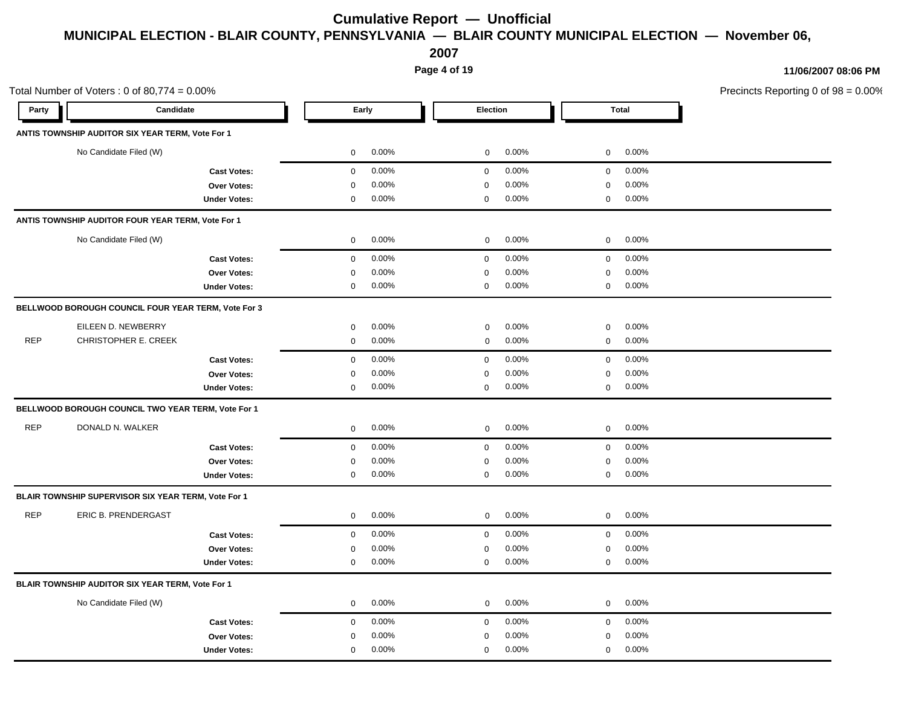**2007**

**Page 4 of 19**

|            | Total Number of Voters: $0$ of 80,774 = $0.00\%$    |                            |                            |                            | Precincts Reporting 0 of 98 = 0.00% |
|------------|-----------------------------------------------------|----------------------------|----------------------------|----------------------------|-------------------------------------|
| Party      | Candidate                                           | Early                      | Election                   | Total                      |                                     |
|            | ANTIS TOWNSHIP AUDITOR SIX YEAR TERM, Vote For 1    |                            |                            |                            |                                     |
|            | No Candidate Filed (W)                              | $\mathbf{0}$<br>$0.00\%$   | $0.00\%$<br>$\mathbf{0}$   | $0\quad 0.00\%$            |                                     |
|            | <b>Cast Votes:</b>                                  | $0.00\%$<br>$\overline{0}$ | $0.00\%$<br>$\mathbf{0}$   | $0 0.00\%$                 |                                     |
|            | Over Votes:                                         | 0.00%<br>$\mathbf 0$       | 0.00%<br>0                 | $0.00\%$<br>$\mathbf 0$    |                                     |
|            | <b>Under Votes:</b>                                 | $0.00\%$<br>$\mathbf{0}$   | $0.00\%$<br>$\mathbf 0$    | $0 0.00\%$                 |                                     |
|            | ANTIS TOWNSHIP AUDITOR FOUR YEAR TERM, Vote For 1   |                            |                            |                            |                                     |
|            | No Candidate Filed (W)                              | $0.00\%$<br>$\overline{0}$ | $0.00\%$<br>$\mathbf 0$    | $0\quad 0.00\%$            |                                     |
|            | <b>Cast Votes:</b>                                  | $0.00\%$<br>$\overline{0}$ | $0.00\%$<br>$\overline{0}$ | $0 0.00\%$                 |                                     |
|            | Over Votes:                                         | $0.00\%$<br>$\Omega$       | 0.00%<br>$\Omega$          | $0.00\%$<br>$\Omega$       |                                     |
|            | <b>Under Votes:</b>                                 | $0.00\%$<br>$\mathbf 0$    | 0.00%<br>$\mathbf 0$       | $0 0.00\%$                 |                                     |
|            | BELLWOOD BOROUGH COUNCIL FOUR YEAR TERM, Vote For 3 |                            |                            |                            |                                     |
|            | EILEEN D. NEWBERRY                                  | 0.00%<br>$\mathbf 0$       | 0.00%<br>$\mathbf 0$       | 0.00%<br>$\mathbf 0$       |                                     |
| <b>REP</b> | CHRISTOPHER E. CREEK                                | $0.00\%$<br>$\overline{0}$ | $0.00\%$<br>$\mathbf{0}$   | $0\quad 0.00\%$            |                                     |
|            | <b>Cast Votes:</b>                                  | 0.00%<br>$\mathbf{0}$      | $0.00\%$<br>$\mathbf 0$    | 0.00%<br>$\overline{0}$    |                                     |
|            | Over Votes:                                         | 0.00%<br>$\Omega$          | 0.00%<br>0                 | 0.00%<br>$\mathbf 0$       |                                     |
|            | <b>Under Votes:</b>                                 | $0.00\%$<br>$\mathbf 0$    | $0.00\%$<br>$\mathbf 0$    | $0\quad 0.00\%$            |                                     |
|            | BELLWOOD BOROUGH COUNCIL TWO YEAR TERM, Vote For 1  |                            |                            |                            |                                     |
| REP        | DONALD N. WALKER                                    | $\overline{0}$<br>$0.00\%$ | 0.00%<br>$\mathbf 0$       | $0\qquad 0.00\%$           |                                     |
|            | <b>Cast Votes:</b>                                  | $0.00\%$<br>$\overline{0}$ | $0.00\%$<br>$\overline{0}$ | $0 0.00\%$                 |                                     |
|            | <b>Over Votes:</b>                                  | 0.00%<br>$\mathbf 0$       | 0.00%<br>0                 | 0.00%<br>$\mathbf 0$       |                                     |
|            | <b>Under Votes:</b>                                 | $0.00\%$<br>$\mathbf 0$    | $0.00\%$<br>$\mathbf 0$    | $0 0.00\%$                 |                                     |
|            | BLAIR TOWNSHIP SUPERVISOR SIX YEAR TERM, Vote For 1 |                            |                            |                            |                                     |
| REP        | ERIC B. PRENDERGAST                                 | $0.00\%$<br>$\mathbf{0}$   | $0.00\%$<br>$\mathbf{0}$   | $0 0.00\%$                 |                                     |
|            | <b>Cast Votes:</b>                                  | $0.00\%$<br>$\mathbf{0}$   | 0.00%<br>$\mathbf{0}$      | $0.00\%$<br>$\overline{0}$ |                                     |
|            | Over Votes:                                         | $0.00\%$<br>$\mathbf 0$    | 0.00%<br>$\mathbf 0$       | 0.00%<br>$\mathbf 0$       |                                     |
|            | <b>Under Votes:</b>                                 | $0.00\%$<br>$\mathbf 0$    | 0.00%<br>$\mathbf 0$       | $0\qquad 0.00\%$           |                                     |
|            | BLAIR TOWNSHIP AUDITOR SIX YEAR TERM, Vote For 1    |                            |                            |                            |                                     |
|            | No Candidate Filed (W)                              | $0.00\%$<br>$\overline{0}$ | $0.00\%$<br>$\mathbf{0}$   | $0 0.00\%$                 |                                     |
|            | <b>Cast Votes:</b>                                  | $0.00\%$<br>$\mathbf 0$    | $0.00\%$<br>$\mathbf 0$    | $0.00\%$<br>$\mathbf 0$    |                                     |
|            | <b>Over Votes:</b>                                  | 0.00%<br>0                 | 0.00%<br>$\Omega$          | $0.00\%$<br>0              |                                     |
|            | <b>Under Votes:</b>                                 | $0.00\%$<br>$\mathbf 0$    | 0.00%<br>0                 | 0.00%<br>$\mathbf 0$       |                                     |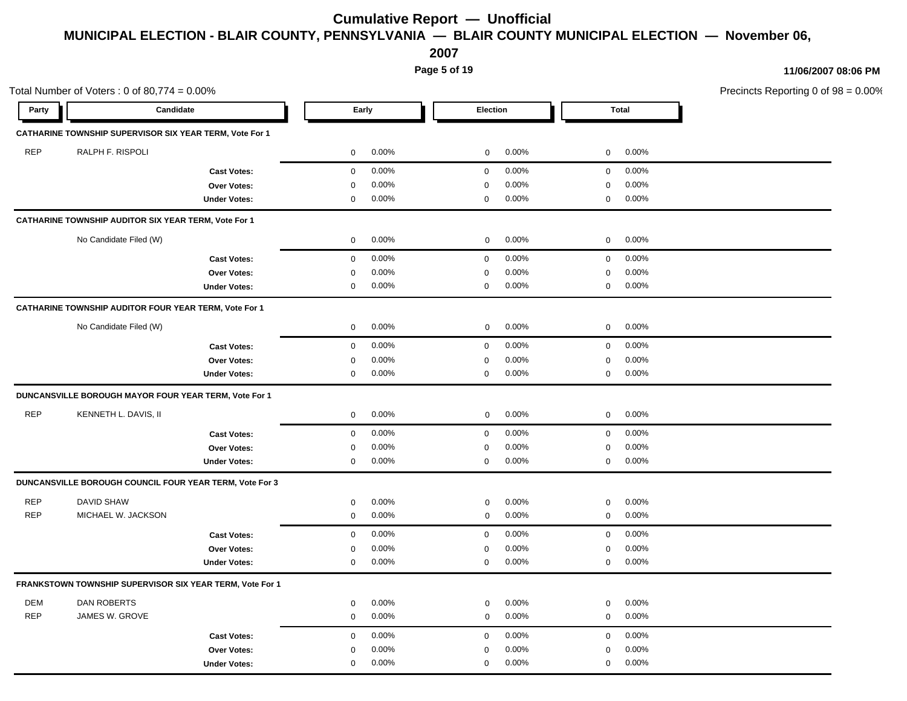**2007**

**Page 5 of 19**

| Total<br>Candidate<br>Early<br>Election<br>Party<br>CATHARINE TOWNSHIP SUPERVISOR SIX YEAR TERM, Vote For 1<br>REP<br>RALPH F. RISPOLI<br>$0.00\%$<br>$0.00\%$<br>$0\qquad 0.00\%$<br>$\overline{0}$<br>$\mathbf{0}$<br>$0.00\%$<br>$\overline{0}$<br>$0.00\%$<br>$0\qquad 0.00\%$<br>$\overline{0}$<br><b>Cast Votes:</b><br>0.00%<br>0.00%<br>0.00%<br>Over Votes:<br>$\Omega$<br>$\mathbf 0$<br>$\Omega$<br>$0.00\%$<br>0.00%<br>$0 0.00\%$<br><b>Under Votes:</b><br>0<br>$\mathbf 0$<br>CATHARINE TOWNSHIP AUDITOR SIX YEAR TERM, Vote For 1<br>No Candidate Filed (W)<br>$0.00\%$<br>$0.00\%$<br>$0 0.00\%$<br>$\overline{0}$<br>$\overline{0}$<br>$0.00\%$<br>$0.00\%$<br>$0\qquad 0.00\%$<br>$\mathbf 0$<br>$\overline{0}$<br><b>Cast Votes:</b><br>0.00%<br>0.00%<br>0.00%<br>Over Votes:<br>$\mathbf 0$<br>$\mathbf 0$<br>$\mathbf 0$<br>0.00%<br>$0.00\%$<br>$0.00\%$<br>$\mathbf 0$<br>$\mathbf 0$<br>$\overline{0}$<br><b>Under Votes:</b><br>CATHARINE TOWNSHIP AUDITOR FOUR YEAR TERM, Vote For 1<br>No Candidate Filed (W)<br>$0.00\%$<br>$0.00\%$<br>$0\quad 0.00\%$<br>$\overline{0}$<br>$\overline{0}$<br>0.00%<br>$0.00\%$<br>$0.00\%$<br>$\mathbf 0$<br>$\mathbf 0$<br>$\mathbf 0$<br><b>Cast Votes:</b><br>0.00%<br>0.00%<br>0.00%<br>Over Votes:<br>$\mathbf 0$<br>$\mathbf 0$<br>0<br>$0.00\%$<br>$0.00\%$<br>$0.00\%$<br><b>Under Votes:</b><br>$\mathbf 0$<br>$\mathbf 0$<br>$\mathbf 0$<br>DUNCANSVILLE BOROUGH MAYOR FOUR YEAR TERM, Vote For 1<br><b>REP</b><br>KENNETH L. DAVIS, II<br>$0.00\%$<br>$0.00\%$<br>$0\quad 0.00\%$<br>$\mathbf 0$<br>$\overline{0}$<br>$0.00\%$<br>$0.00\%$<br>$0 0.00\%$<br>$\overline{0}$<br>$\overline{0}$<br><b>Cast Votes:</b><br>0.00%<br>0.00%<br>$0.00\%$<br>Over Votes:<br>$\mathbf 0$<br>$\mathbf 0$<br>$\mathbf 0$<br>$0.00\%$<br>$0.00\%$<br>$0 0.00\%$<br><b>Under Votes:</b><br>$\mathbf 0$<br>$\mathbf 0$<br>DUNCANSVILLE BOROUGH COUNCIL FOUR YEAR TERM, Vote For 3<br>REP<br><b>DAVID SHAW</b><br>0.00%<br>0.00%<br>$0.00\%$<br>$\mathbf 0$<br>$\mathbf 0$<br>$\mathbf 0$<br><b>REP</b><br>MICHAEL W. JACKSON<br>0.00%<br>0.00%<br>$0.00\%$<br>0<br>$\mathbf 0$<br>$\overline{0}$<br>$0.00\%$<br>$0.00\%$<br>$0.00\%$<br><b>Cast Votes:</b><br>$\mathbf 0$<br>$\mathbf 0$<br>$\overline{0}$<br>0.00%<br>0.00%<br>0.00%<br>Over Votes:<br>$\mathbf 0$<br>$\overline{0}$<br>$\mathbf 0$<br>$0.00\%$<br>$0.00\%$<br>$0.00\%$<br>$\mathbf 0$<br>$\overline{0}$<br>$\mathbf 0$<br><b>Under Votes:</b><br>FRANKSTOWN TOWNSHIP SUPERVISOR SIX YEAR TERM, Vote For 1<br>DEM<br>DAN ROBERTS<br>$0.00\%$<br>0.00%<br>0.00%<br>$\mathbf 0$<br>$\mathbf 0$<br>$\mathbf 0$<br>REP<br>JAMES W. GROVE<br>$0.00\%$<br>0.00%<br>$0.00\%$<br>$\mathbf 0$<br>$\mathbf 0$<br>$\overline{0}$<br>0.00%<br>$0.00\%$<br>$0.00\%$<br>$\mathbf 0$<br>$\mathbf 0$<br>$\mathbf 0$<br><b>Cast Votes:</b><br>0.00%<br>0.00%<br>0.00%<br>Over Votes:<br>$\mathbf 0$<br>$\mathbf 0$<br>0 | Total Number of Voters: $0$ of 80,774 = $0.00\%$ |                     |                         |                      |                         |  |  |
|-------------------------------------------------------------------------------------------------------------------------------------------------------------------------------------------------------------------------------------------------------------------------------------------------------------------------------------------------------------------------------------------------------------------------------------------------------------------------------------------------------------------------------------------------------------------------------------------------------------------------------------------------------------------------------------------------------------------------------------------------------------------------------------------------------------------------------------------------------------------------------------------------------------------------------------------------------------------------------------------------------------------------------------------------------------------------------------------------------------------------------------------------------------------------------------------------------------------------------------------------------------------------------------------------------------------------------------------------------------------------------------------------------------------------------------------------------------------------------------------------------------------------------------------------------------------------------------------------------------------------------------------------------------------------------------------------------------------------------------------------------------------------------------------------------------------------------------------------------------------------------------------------------------------------------------------------------------------------------------------------------------------------------------------------------------------------------------------------------------------------------------------------------------------------------------------------------------------------------------------------------------------------------------------------------------------------------------------------------------------------------------------------------------------------------------------------------------------------------------------------------------------------------------------------------------------------------------------------------------------------------------------------------------------------------------------------------------------------------------------------------------------------------------------------------------------------------------------------------------------------------------------------------------------------------------|--------------------------------------------------|---------------------|-------------------------|----------------------|-------------------------|--|--|
|                                                                                                                                                                                                                                                                                                                                                                                                                                                                                                                                                                                                                                                                                                                                                                                                                                                                                                                                                                                                                                                                                                                                                                                                                                                                                                                                                                                                                                                                                                                                                                                                                                                                                                                                                                                                                                                                                                                                                                                                                                                                                                                                                                                                                                                                                                                                                                                                                                                                                                                                                                                                                                                                                                                                                                                                                                                                                                                                     |                                                  |                     |                         |                      |                         |  |  |
|                                                                                                                                                                                                                                                                                                                                                                                                                                                                                                                                                                                                                                                                                                                                                                                                                                                                                                                                                                                                                                                                                                                                                                                                                                                                                                                                                                                                                                                                                                                                                                                                                                                                                                                                                                                                                                                                                                                                                                                                                                                                                                                                                                                                                                                                                                                                                                                                                                                                                                                                                                                                                                                                                                                                                                                                                                                                                                                                     |                                                  |                     |                         |                      |                         |  |  |
|                                                                                                                                                                                                                                                                                                                                                                                                                                                                                                                                                                                                                                                                                                                                                                                                                                                                                                                                                                                                                                                                                                                                                                                                                                                                                                                                                                                                                                                                                                                                                                                                                                                                                                                                                                                                                                                                                                                                                                                                                                                                                                                                                                                                                                                                                                                                                                                                                                                                                                                                                                                                                                                                                                                                                                                                                                                                                                                                     |                                                  |                     |                         |                      |                         |  |  |
|                                                                                                                                                                                                                                                                                                                                                                                                                                                                                                                                                                                                                                                                                                                                                                                                                                                                                                                                                                                                                                                                                                                                                                                                                                                                                                                                                                                                                                                                                                                                                                                                                                                                                                                                                                                                                                                                                                                                                                                                                                                                                                                                                                                                                                                                                                                                                                                                                                                                                                                                                                                                                                                                                                                                                                                                                                                                                                                                     |                                                  |                     |                         |                      |                         |  |  |
|                                                                                                                                                                                                                                                                                                                                                                                                                                                                                                                                                                                                                                                                                                                                                                                                                                                                                                                                                                                                                                                                                                                                                                                                                                                                                                                                                                                                                                                                                                                                                                                                                                                                                                                                                                                                                                                                                                                                                                                                                                                                                                                                                                                                                                                                                                                                                                                                                                                                                                                                                                                                                                                                                                                                                                                                                                                                                                                                     |                                                  |                     |                         |                      |                         |  |  |
|                                                                                                                                                                                                                                                                                                                                                                                                                                                                                                                                                                                                                                                                                                                                                                                                                                                                                                                                                                                                                                                                                                                                                                                                                                                                                                                                                                                                                                                                                                                                                                                                                                                                                                                                                                                                                                                                                                                                                                                                                                                                                                                                                                                                                                                                                                                                                                                                                                                                                                                                                                                                                                                                                                                                                                                                                                                                                                                                     |                                                  |                     |                         |                      |                         |  |  |
|                                                                                                                                                                                                                                                                                                                                                                                                                                                                                                                                                                                                                                                                                                                                                                                                                                                                                                                                                                                                                                                                                                                                                                                                                                                                                                                                                                                                                                                                                                                                                                                                                                                                                                                                                                                                                                                                                                                                                                                                                                                                                                                                                                                                                                                                                                                                                                                                                                                                                                                                                                                                                                                                                                                                                                                                                                                                                                                                     |                                                  |                     |                         |                      |                         |  |  |
|                                                                                                                                                                                                                                                                                                                                                                                                                                                                                                                                                                                                                                                                                                                                                                                                                                                                                                                                                                                                                                                                                                                                                                                                                                                                                                                                                                                                                                                                                                                                                                                                                                                                                                                                                                                                                                                                                                                                                                                                                                                                                                                                                                                                                                                                                                                                                                                                                                                                                                                                                                                                                                                                                                                                                                                                                                                                                                                                     |                                                  |                     |                         |                      |                         |  |  |
|                                                                                                                                                                                                                                                                                                                                                                                                                                                                                                                                                                                                                                                                                                                                                                                                                                                                                                                                                                                                                                                                                                                                                                                                                                                                                                                                                                                                                                                                                                                                                                                                                                                                                                                                                                                                                                                                                                                                                                                                                                                                                                                                                                                                                                                                                                                                                                                                                                                                                                                                                                                                                                                                                                                                                                                                                                                                                                                                     |                                                  |                     |                         |                      |                         |  |  |
|                                                                                                                                                                                                                                                                                                                                                                                                                                                                                                                                                                                                                                                                                                                                                                                                                                                                                                                                                                                                                                                                                                                                                                                                                                                                                                                                                                                                                                                                                                                                                                                                                                                                                                                                                                                                                                                                                                                                                                                                                                                                                                                                                                                                                                                                                                                                                                                                                                                                                                                                                                                                                                                                                                                                                                                                                                                                                                                                     |                                                  |                     |                         |                      |                         |  |  |
|                                                                                                                                                                                                                                                                                                                                                                                                                                                                                                                                                                                                                                                                                                                                                                                                                                                                                                                                                                                                                                                                                                                                                                                                                                                                                                                                                                                                                                                                                                                                                                                                                                                                                                                                                                                                                                                                                                                                                                                                                                                                                                                                                                                                                                                                                                                                                                                                                                                                                                                                                                                                                                                                                                                                                                                                                                                                                                                                     |                                                  |                     |                         |                      |                         |  |  |
|                                                                                                                                                                                                                                                                                                                                                                                                                                                                                                                                                                                                                                                                                                                                                                                                                                                                                                                                                                                                                                                                                                                                                                                                                                                                                                                                                                                                                                                                                                                                                                                                                                                                                                                                                                                                                                                                                                                                                                                                                                                                                                                                                                                                                                                                                                                                                                                                                                                                                                                                                                                                                                                                                                                                                                                                                                                                                                                                     |                                                  |                     |                         |                      |                         |  |  |
|                                                                                                                                                                                                                                                                                                                                                                                                                                                                                                                                                                                                                                                                                                                                                                                                                                                                                                                                                                                                                                                                                                                                                                                                                                                                                                                                                                                                                                                                                                                                                                                                                                                                                                                                                                                                                                                                                                                                                                                                                                                                                                                                                                                                                                                                                                                                                                                                                                                                                                                                                                                                                                                                                                                                                                                                                                                                                                                                     |                                                  |                     |                         |                      |                         |  |  |
|                                                                                                                                                                                                                                                                                                                                                                                                                                                                                                                                                                                                                                                                                                                                                                                                                                                                                                                                                                                                                                                                                                                                                                                                                                                                                                                                                                                                                                                                                                                                                                                                                                                                                                                                                                                                                                                                                                                                                                                                                                                                                                                                                                                                                                                                                                                                                                                                                                                                                                                                                                                                                                                                                                                                                                                                                                                                                                                                     |                                                  |                     |                         |                      |                         |  |  |
|                                                                                                                                                                                                                                                                                                                                                                                                                                                                                                                                                                                                                                                                                                                                                                                                                                                                                                                                                                                                                                                                                                                                                                                                                                                                                                                                                                                                                                                                                                                                                                                                                                                                                                                                                                                                                                                                                                                                                                                                                                                                                                                                                                                                                                                                                                                                                                                                                                                                                                                                                                                                                                                                                                                                                                                                                                                                                                                                     |                                                  |                     |                         |                      |                         |  |  |
|                                                                                                                                                                                                                                                                                                                                                                                                                                                                                                                                                                                                                                                                                                                                                                                                                                                                                                                                                                                                                                                                                                                                                                                                                                                                                                                                                                                                                                                                                                                                                                                                                                                                                                                                                                                                                                                                                                                                                                                                                                                                                                                                                                                                                                                                                                                                                                                                                                                                                                                                                                                                                                                                                                                                                                                                                                                                                                                                     |                                                  |                     |                         |                      |                         |  |  |
|                                                                                                                                                                                                                                                                                                                                                                                                                                                                                                                                                                                                                                                                                                                                                                                                                                                                                                                                                                                                                                                                                                                                                                                                                                                                                                                                                                                                                                                                                                                                                                                                                                                                                                                                                                                                                                                                                                                                                                                                                                                                                                                                                                                                                                                                                                                                                                                                                                                                                                                                                                                                                                                                                                                                                                                                                                                                                                                                     |                                                  |                     |                         |                      |                         |  |  |
|                                                                                                                                                                                                                                                                                                                                                                                                                                                                                                                                                                                                                                                                                                                                                                                                                                                                                                                                                                                                                                                                                                                                                                                                                                                                                                                                                                                                                                                                                                                                                                                                                                                                                                                                                                                                                                                                                                                                                                                                                                                                                                                                                                                                                                                                                                                                                                                                                                                                                                                                                                                                                                                                                                                                                                                                                                                                                                                                     |                                                  |                     |                         |                      |                         |  |  |
|                                                                                                                                                                                                                                                                                                                                                                                                                                                                                                                                                                                                                                                                                                                                                                                                                                                                                                                                                                                                                                                                                                                                                                                                                                                                                                                                                                                                                                                                                                                                                                                                                                                                                                                                                                                                                                                                                                                                                                                                                                                                                                                                                                                                                                                                                                                                                                                                                                                                                                                                                                                                                                                                                                                                                                                                                                                                                                                                     |                                                  |                     |                         |                      |                         |  |  |
|                                                                                                                                                                                                                                                                                                                                                                                                                                                                                                                                                                                                                                                                                                                                                                                                                                                                                                                                                                                                                                                                                                                                                                                                                                                                                                                                                                                                                                                                                                                                                                                                                                                                                                                                                                                                                                                                                                                                                                                                                                                                                                                                                                                                                                                                                                                                                                                                                                                                                                                                                                                                                                                                                                                                                                                                                                                                                                                                     |                                                  |                     |                         |                      |                         |  |  |
|                                                                                                                                                                                                                                                                                                                                                                                                                                                                                                                                                                                                                                                                                                                                                                                                                                                                                                                                                                                                                                                                                                                                                                                                                                                                                                                                                                                                                                                                                                                                                                                                                                                                                                                                                                                                                                                                                                                                                                                                                                                                                                                                                                                                                                                                                                                                                                                                                                                                                                                                                                                                                                                                                                                                                                                                                                                                                                                                     |                                                  |                     |                         |                      |                         |  |  |
|                                                                                                                                                                                                                                                                                                                                                                                                                                                                                                                                                                                                                                                                                                                                                                                                                                                                                                                                                                                                                                                                                                                                                                                                                                                                                                                                                                                                                                                                                                                                                                                                                                                                                                                                                                                                                                                                                                                                                                                                                                                                                                                                                                                                                                                                                                                                                                                                                                                                                                                                                                                                                                                                                                                                                                                                                                                                                                                                     |                                                  |                     |                         |                      |                         |  |  |
|                                                                                                                                                                                                                                                                                                                                                                                                                                                                                                                                                                                                                                                                                                                                                                                                                                                                                                                                                                                                                                                                                                                                                                                                                                                                                                                                                                                                                                                                                                                                                                                                                                                                                                                                                                                                                                                                                                                                                                                                                                                                                                                                                                                                                                                                                                                                                                                                                                                                                                                                                                                                                                                                                                                                                                                                                                                                                                                                     |                                                  |                     |                         |                      |                         |  |  |
|                                                                                                                                                                                                                                                                                                                                                                                                                                                                                                                                                                                                                                                                                                                                                                                                                                                                                                                                                                                                                                                                                                                                                                                                                                                                                                                                                                                                                                                                                                                                                                                                                                                                                                                                                                                                                                                                                                                                                                                                                                                                                                                                                                                                                                                                                                                                                                                                                                                                                                                                                                                                                                                                                                                                                                                                                                                                                                                                     |                                                  |                     |                         |                      |                         |  |  |
|                                                                                                                                                                                                                                                                                                                                                                                                                                                                                                                                                                                                                                                                                                                                                                                                                                                                                                                                                                                                                                                                                                                                                                                                                                                                                                                                                                                                                                                                                                                                                                                                                                                                                                                                                                                                                                                                                                                                                                                                                                                                                                                                                                                                                                                                                                                                                                                                                                                                                                                                                                                                                                                                                                                                                                                                                                                                                                                                     |                                                  |                     |                         |                      |                         |  |  |
|                                                                                                                                                                                                                                                                                                                                                                                                                                                                                                                                                                                                                                                                                                                                                                                                                                                                                                                                                                                                                                                                                                                                                                                                                                                                                                                                                                                                                                                                                                                                                                                                                                                                                                                                                                                                                                                                                                                                                                                                                                                                                                                                                                                                                                                                                                                                                                                                                                                                                                                                                                                                                                                                                                                                                                                                                                                                                                                                     |                                                  |                     |                         |                      |                         |  |  |
|                                                                                                                                                                                                                                                                                                                                                                                                                                                                                                                                                                                                                                                                                                                                                                                                                                                                                                                                                                                                                                                                                                                                                                                                                                                                                                                                                                                                                                                                                                                                                                                                                                                                                                                                                                                                                                                                                                                                                                                                                                                                                                                                                                                                                                                                                                                                                                                                                                                                                                                                                                                                                                                                                                                                                                                                                                                                                                                                     |                                                  |                     |                         |                      |                         |  |  |
|                                                                                                                                                                                                                                                                                                                                                                                                                                                                                                                                                                                                                                                                                                                                                                                                                                                                                                                                                                                                                                                                                                                                                                                                                                                                                                                                                                                                                                                                                                                                                                                                                                                                                                                                                                                                                                                                                                                                                                                                                                                                                                                                                                                                                                                                                                                                                                                                                                                                                                                                                                                                                                                                                                                                                                                                                                                                                                                                     |                                                  |                     |                         |                      |                         |  |  |
|                                                                                                                                                                                                                                                                                                                                                                                                                                                                                                                                                                                                                                                                                                                                                                                                                                                                                                                                                                                                                                                                                                                                                                                                                                                                                                                                                                                                                                                                                                                                                                                                                                                                                                                                                                                                                                                                                                                                                                                                                                                                                                                                                                                                                                                                                                                                                                                                                                                                                                                                                                                                                                                                                                                                                                                                                                                                                                                                     |                                                  |                     |                         |                      |                         |  |  |
|                                                                                                                                                                                                                                                                                                                                                                                                                                                                                                                                                                                                                                                                                                                                                                                                                                                                                                                                                                                                                                                                                                                                                                                                                                                                                                                                                                                                                                                                                                                                                                                                                                                                                                                                                                                                                                                                                                                                                                                                                                                                                                                                                                                                                                                                                                                                                                                                                                                                                                                                                                                                                                                                                                                                                                                                                                                                                                                                     |                                                  |                     |                         |                      |                         |  |  |
|                                                                                                                                                                                                                                                                                                                                                                                                                                                                                                                                                                                                                                                                                                                                                                                                                                                                                                                                                                                                                                                                                                                                                                                                                                                                                                                                                                                                                                                                                                                                                                                                                                                                                                                                                                                                                                                                                                                                                                                                                                                                                                                                                                                                                                                                                                                                                                                                                                                                                                                                                                                                                                                                                                                                                                                                                                                                                                                                     |                                                  |                     |                         |                      |                         |  |  |
|                                                                                                                                                                                                                                                                                                                                                                                                                                                                                                                                                                                                                                                                                                                                                                                                                                                                                                                                                                                                                                                                                                                                                                                                                                                                                                                                                                                                                                                                                                                                                                                                                                                                                                                                                                                                                                                                                                                                                                                                                                                                                                                                                                                                                                                                                                                                                                                                                                                                                                                                                                                                                                                                                                                                                                                                                                                                                                                                     |                                                  |                     |                         |                      |                         |  |  |
|                                                                                                                                                                                                                                                                                                                                                                                                                                                                                                                                                                                                                                                                                                                                                                                                                                                                                                                                                                                                                                                                                                                                                                                                                                                                                                                                                                                                                                                                                                                                                                                                                                                                                                                                                                                                                                                                                                                                                                                                                                                                                                                                                                                                                                                                                                                                                                                                                                                                                                                                                                                                                                                                                                                                                                                                                                                                                                                                     |                                                  | <b>Under Votes:</b> | $0.00\%$<br>$\mathbf 0$ | 0.00%<br>$\mathbf 0$ | $0.00\%$<br>$\mathbf 0$ |  |  |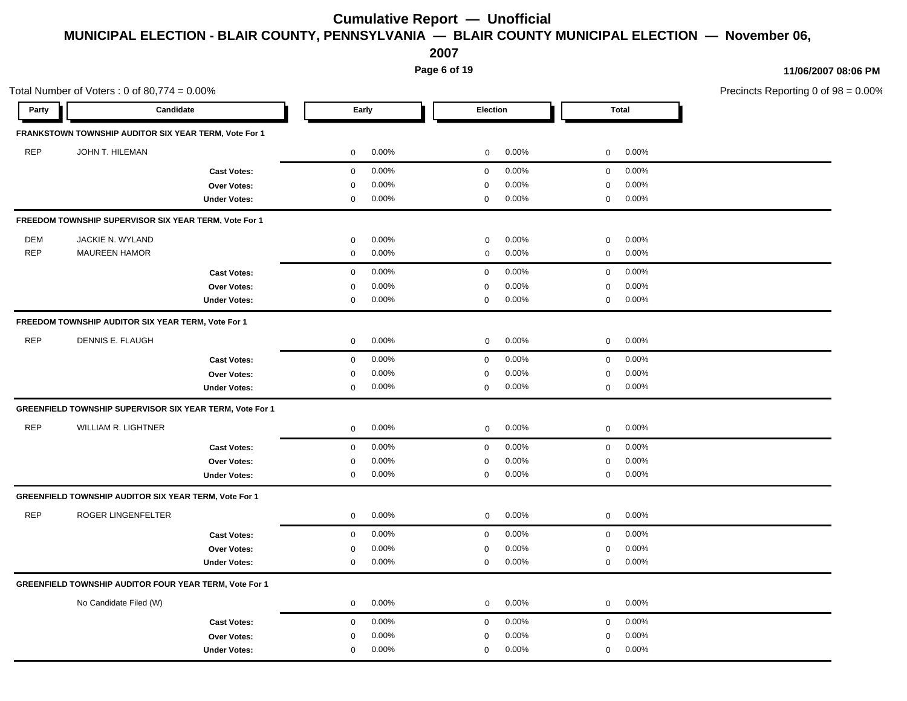**2007**

**Page 6 of 19**

|            | Total Number of Voters: $0$ of 80,774 = $0.00\%$                |                     |                       |                      |                       | Precincts Reporting 0 of 98 = 0.00% |
|------------|-----------------------------------------------------------------|---------------------|-----------------------|----------------------|-----------------------|-------------------------------------|
| Party      | Candidate                                                       |                     | Early                 | Election             | <b>Total</b>          |                                     |
|            | FRANKSTOWN TOWNSHIP AUDITOR SIX YEAR TERM, Vote For 1           |                     |                       |                      |                       |                                     |
| <b>REP</b> | JOHN T. HILEMAN                                                 |                     | 0.00%<br>0            | 0.00%<br>$\mathbf 0$ | 0.00%<br>$\mathbf 0$  |                                     |
|            |                                                                 | <b>Cast Votes:</b>  | 0.00%<br>$\mathbf 0$  | 0.00%<br>$\mathbf 0$ | 0.00%<br>$\mathbf 0$  |                                     |
|            |                                                                 | Over Votes:         | 0.00%<br>0            | 0.00%<br>$\mathbf 0$ | 0.00%<br>$\mathbf 0$  |                                     |
|            |                                                                 | <b>Under Votes:</b> | 0.00%<br>0            | 0.00%<br>0           | 0.00%<br>0            |                                     |
|            | FREEDOM TOWNSHIP SUPERVISOR SIX YEAR TERM, Vote For 1           |                     |                       |                      |                       |                                     |
| DEM        | JACKIE N. WYLAND                                                |                     | 0.00%<br>0            | 0.00%<br>0           | 0.00%<br>$\mathbf 0$  |                                     |
| <b>REP</b> | <b>MAUREEN HAMOR</b>                                            |                     | 0.00%<br>$\mathbf 0$  | 0.00%<br>$\mathbf 0$ | 0.00%<br>$\mathbf 0$  |                                     |
|            |                                                                 | <b>Cast Votes:</b>  | 0.00%<br>$\mathbf 0$  | 0.00%<br>$\mathbf 0$ | 0.00%<br>$\mathbf 0$  |                                     |
|            |                                                                 | Over Votes:         | 0.00%<br>$\mathbf 0$  | 0.00%<br>$\mathbf 0$ | 0.00%<br>$\mathbf 0$  |                                     |
|            |                                                                 | <b>Under Votes:</b> | 0.00%<br>$\mathbf{0}$ | 0.00%<br>$\mathbf 0$ | 0.00%<br>$\mathbf 0$  |                                     |
|            | FREEDOM TOWNSHIP AUDITOR SIX YEAR TERM, Vote For 1              |                     |                       |                      |                       |                                     |
| <b>REP</b> | DENNIS E. FLAUGH                                                |                     | 0.00%<br>0            | 0.00%<br>$\mathbf 0$ | 0.00%<br>$\mathbf 0$  |                                     |
|            |                                                                 | <b>Cast Votes:</b>  | 0.00%<br>$\mathbf 0$  | 0.00%<br>$\mathbf 0$ | 0.00%<br>$\mathbf 0$  |                                     |
|            |                                                                 | Over Votes:         | 0.00%<br>$\mathbf 0$  | 0.00%<br>$\mathbf 0$ | 0.00%<br>$\mathbf 0$  |                                     |
|            |                                                                 | <b>Under Votes:</b> | 0.00%<br>$\mathbf{0}$ | 0.00%<br>$\mathbf 0$ | 0.00%<br>$\mathbf 0$  |                                     |
|            | <b>GREENFIELD TOWNSHIP SUPERVISOR SIX YEAR TERM, Vote For 1</b> |                     |                       |                      |                       |                                     |
| <b>REP</b> | WILLIAM R. LIGHTNER                                             |                     | 0.00%<br>0            | $\mathbf 0$<br>0.00% | 0.00%<br>$\mathbf 0$  |                                     |
|            |                                                                 | <b>Cast Votes:</b>  | 0.00%<br>$\mathbf 0$  | 0.00%<br>$\mathbf 0$ | 0.00%<br>$\mathbf 0$  |                                     |
|            |                                                                 | <b>Over Votes:</b>  | 0.00%<br>$\mathbf 0$  | 0.00%<br>0           | 0.00%<br>$\mathbf 0$  |                                     |
|            |                                                                 | <b>Under Votes:</b> | $\mathbf 0$<br>0.00%  | 0.00%<br>$\mathbf 0$ | 0.00%<br>$\mathbf 0$  |                                     |
|            | GREENFIELD TOWNSHIP AUDITOR SIX YEAR TERM, Vote For 1           |                     |                       |                      |                       |                                     |
| <b>REP</b> | ROGER LINGENFELTER                                              |                     | 0.00%<br>0            | 0.00%<br>$\mathbf 0$ | 0.00%<br>0            |                                     |
|            |                                                                 | <b>Cast Votes:</b>  | 0.00%<br>$\mathbf 0$  | 0.00%<br>$\mathbf 0$ | 0.00%<br>$\mathbf 0$  |                                     |
|            |                                                                 | Over Votes:         | 0.00%<br>$\mathbf 0$  | 0.00%<br>0           | 0.00%<br>$\pmb{0}$    |                                     |
|            |                                                                 | <b>Under Votes:</b> | 0.00%<br>$\mathbf 0$  | 0.00%<br>$\mathbf 0$ | 0.00%<br>$\mathbf 0$  |                                     |
|            | <b>GREENFIELD TOWNSHIP AUDITOR FOUR YEAR TERM, Vote For 1</b>   |                     |                       |                      |                       |                                     |
|            | No Candidate Filed (W)                                          |                     | 0.00%<br>$\mathbf 0$  | 0.00%<br>$\mathbf 0$ | 0.00%<br>$\mathbf{0}$ |                                     |
|            |                                                                 | <b>Cast Votes:</b>  | 0.00%<br>$\mathbf 0$  | 0.00%<br>$\mathbf 0$ | 0.00%<br>$\mathbf 0$  |                                     |
|            |                                                                 | Over Votes:         | 0.00%<br>$\mathbf 0$  | 0.00%<br>$\mathbf 0$ | 0.00%<br>$\mathbf 0$  |                                     |
|            |                                                                 | <b>Under Votes:</b> | 0.00%<br>$\mathbf 0$  | 0.00%<br>$\mathbf 0$ | 0.00%<br>$\mathsf 0$  |                                     |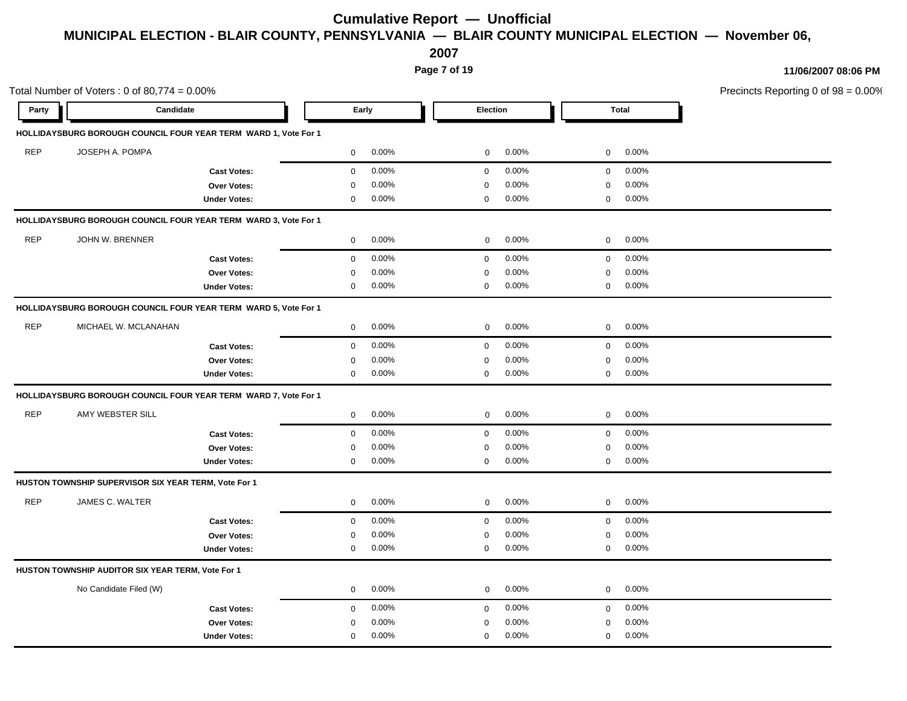**2007**

**Page 7 of 19**

| Candidate<br>Party<br>HOLLIDAYSBURG BOROUGH COUNCIL FOUR YEAR TERM WARD 1, Vote For 1<br><b>REP</b><br>JOSEPH A. POMPA<br>$\overline{0}$ | Early<br>$0.00\%$<br>$0.00\%$<br>0.00% | Election<br>$0.00\%$<br>$\overline{0}$<br>$0.00\%$<br>$\mathbf{0}$ | <b>Total</b><br>$0\qquad 0.00\%$ |  |
|------------------------------------------------------------------------------------------------------------------------------------------|----------------------------------------|--------------------------------------------------------------------|----------------------------------|--|
|                                                                                                                                          |                                        |                                                                    |                                  |  |
|                                                                                                                                          |                                        |                                                                    |                                  |  |
|                                                                                                                                          |                                        |                                                                    |                                  |  |
| $\mathbf 0$<br><b>Cast Votes:</b>                                                                                                        |                                        |                                                                    | $0\qquad 0.00\%$                 |  |
| Over Votes:<br>$\mathbf 0$                                                                                                               |                                        | 0.00%<br>$\mathbf 0$                                               | 0.00%<br>$\overline{0}$          |  |
| <b>Under Votes:</b><br>$\mathbf 0$                                                                                                       | $0.00\%$                               | 0.00%<br>$\mathbf 0$                                               | $0$ 0.00%                        |  |
| HOLLIDAYSBURG BOROUGH COUNCIL FOUR YEAR TERM WARD 3, Vote For 1                                                                          |                                        |                                                                    |                                  |  |
| REP<br>JOHN W. BRENNER<br>$\overline{0}$                                                                                                 | $0.00\%$                               | 0.00%<br>$\mathbf 0$                                               | $0\qquad 0.00\%$                 |  |
| $\mathbf{0}$<br><b>Cast Votes:</b>                                                                                                       | $0.00\%$                               | $0.00\%$<br>$\overline{0}$                                         | $0 0.00\%$                       |  |
| Over Votes:<br>$\Omega$                                                                                                                  | $0.00\%$                               | 0.00%<br>$\mathbf{0}$                                              | $0.00\%$<br>$\mathbf 0$          |  |
| <b>Under Votes:</b><br>$\mathbf{0}$                                                                                                      | $0.00\%$                               | $0.00\%$<br>0                                                      | $0\qquad 0.00\%$                 |  |
| HOLLIDAYSBURG BOROUGH COUNCIL FOUR YEAR TERM WARD 5, Vote For 1                                                                          |                                        |                                                                    |                                  |  |
| REP<br>MICHAEL W. MCLANAHAN                                                                                                              | $0\quad 0.00\%$                        | $0.00\%$<br>$\mathbf{0}$                                           | $0\quad 0.00\%$                  |  |
| <b>Cast Votes:</b><br>$\mathbf{0}$                                                                                                       | $0.00\%$                               | $0.00\%$<br>$\mathbf{0}$                                           | $0.00\%$<br>$\overline{0}$       |  |
| Over Votes:<br>0                                                                                                                         | $0.00\%$                               | 0.00%<br>0                                                         | $0.00\%$<br>$\mathbf 0$          |  |
| <b>Under Votes:</b><br>$\mathbf 0$                                                                                                       | $0.00\%$                               | 0.00%<br>$\mathbf 0$                                               | $0.00\%$<br>$\mathbf 0$          |  |
| HOLLIDAYSBURG BOROUGH COUNCIL FOUR YEAR TERM WARD 7, Vote For 1                                                                          |                                        |                                                                    |                                  |  |
| REP<br>AMY WEBSTER SILL<br>$\overline{0}$                                                                                                | $0.00\%$                               | $0.00\%$<br>$\overline{0}$                                         | $0\quad 0.00\%$                  |  |
| $\mathbf 0$<br><b>Cast Votes:</b>                                                                                                        | $0.00\%$                               | $0.00\%$<br>$\mathbf{0}$                                           | $\overline{0}$<br>$0.00\%$       |  |
| Over Votes:<br>0                                                                                                                         | $0.00\%$                               | 0.00%<br>0                                                         | $0.00\%$<br>$\mathbf 0$          |  |
| <b>Under Votes:</b><br>$\mathbf 0$                                                                                                       | $0.00\%$                               | $0.00\%$<br>$\mathbf 0$                                            | $0\quad 0.00\%$                  |  |
| HUSTON TOWNSHIP SUPERVISOR SIX YEAR TERM, Vote For 1                                                                                     |                                        |                                                                    |                                  |  |
| REP<br>JAMES C. WALTER<br>$\overline{0}$                                                                                                 | $0.00\%$                               | $0.00\%$<br>$\overline{0}$                                         | $0\quad 0.00\%$                  |  |
| $\overline{0}$<br><b>Cast Votes:</b>                                                                                                     | $0.00\%$                               | $0.00\%$<br>$\overline{0}$                                         | $0 0.00\%$                       |  |
| Over Votes:<br>$\mathbf 0$                                                                                                               | $0.00\%$                               | 0.00%<br>$\Omega$                                                  | $0.00\%$<br>$\mathbf 0$          |  |
| <b>Under Votes:</b><br>$\mathbf 0$                                                                                                       | $0.00\%$                               | $0.00\%$<br>0                                                      | $0\quad 0.00\%$                  |  |
| HUSTON TOWNSHIP AUDITOR SIX YEAR TERM, Vote For 1                                                                                        |                                        |                                                                    |                                  |  |
| No Candidate Filed (W)<br>$\overline{0}$                                                                                                 | $0.00\%$                               | $0.00\%$<br>$\overline{0}$                                         | $0 0.00\%$                       |  |
| <b>Cast Votes:</b><br>$\mathbf 0$                                                                                                        | $0.00\%$                               | $0.00\%$<br>$\mathbf{0}$                                           | $0.00\%$<br>$\overline{0}$       |  |
| Over Votes:<br>$\Omega$                                                                                                                  | 0.00%                                  | 0.00%<br>0                                                         | 0.00%<br>$\mathbf 0$             |  |
| <b>Under Votes:</b><br>$\mathbf 0$                                                                                                       | 0.00%                                  | $0.00\%$<br>$\mathbf 0$                                            | $0 0.00\%$                       |  |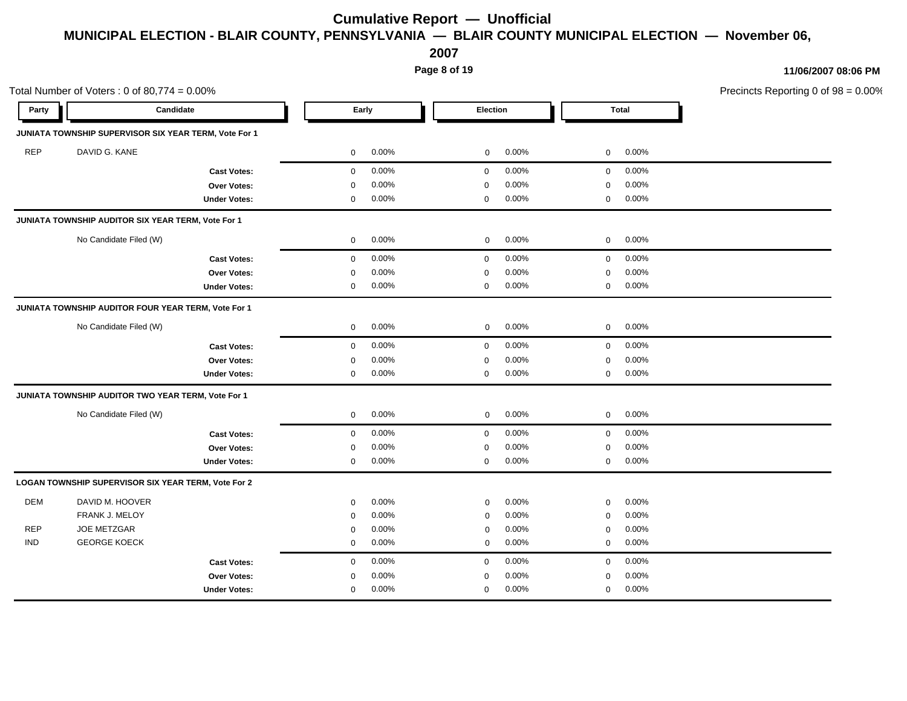**2007**

**Page 8 of 19**

|            | Total Number of Voters: $0$ of 80,774 = $0.00\%$      |                     |             |          |             |       |             |              | Precincts Reporting 0 of 98 = 0.00% |
|------------|-------------------------------------------------------|---------------------|-------------|----------|-------------|-------|-------------|--------------|-------------------------------------|
| Party      | Candidate                                             |                     |             | Early    | Election    |       |             | <b>Total</b> |                                     |
|            | JUNIATA TOWNSHIP SUPERVISOR SIX YEAR TERM, Vote For 1 |                     |             |          |             |       |             |              |                                     |
| <b>REP</b> | DAVID G. KANE                                         |                     | 0           | 0.00%    | $\mathbf 0$ | 0.00% | $\mathbf 0$ | 0.00%        |                                     |
|            |                                                       | <b>Cast Votes:</b>  | 0           | 0.00%    | $\mathbf 0$ | 0.00% | $\mathbf 0$ | 0.00%        |                                     |
|            |                                                       | <b>Over Votes:</b>  | 0           | 0.00%    | 0           | 0.00% | $\mathbf 0$ | 0.00%        |                                     |
|            |                                                       | <b>Under Votes:</b> | 0           | 0.00%    | $\mathbf 0$ | 0.00% | $\mathbf 0$ | 0.00%        |                                     |
|            | JUNIATA TOWNSHIP AUDITOR SIX YEAR TERM, Vote For 1    |                     |             |          |             |       |             |              |                                     |
|            | No Candidate Filed (W)                                |                     | $\mathbf 0$ | 0.00%    | $\mathbf 0$ | 0.00% | $\mathbf 0$ | 0.00%        |                                     |
|            |                                                       | <b>Cast Votes:</b>  | $\mathbf 0$ | 0.00%    | $\mathbf 0$ | 0.00% | $\mathbf 0$ | 0.00%        |                                     |
|            |                                                       | Over Votes:         | $\mathbf 0$ | 0.00%    | $\mathbf 0$ | 0.00% | $\mathbf 0$ | 0.00%        |                                     |
|            |                                                       | <b>Under Votes:</b> | 0           | $0.00\%$ | 0           | 0.00% | 0           | 0.00%        |                                     |
|            | JUNIATA TOWNSHIP AUDITOR FOUR YEAR TERM, Vote For 1   |                     |             |          |             |       |             |              |                                     |
|            | No Candidate Filed (W)                                |                     | $\mathbf 0$ | 0.00%    | $\mathbf 0$ | 0.00% | $\mathbf 0$ | 0.00%        |                                     |
|            |                                                       | <b>Cast Votes:</b>  | 0           | 0.00%    | $\mathbf 0$ | 0.00% | $\mathbf 0$ | 0.00%        |                                     |
|            |                                                       | Over Votes:         | 0           | 0.00%    | 0           | 0.00% | 0           | 0.00%        |                                     |
|            |                                                       | <b>Under Votes:</b> | 0           | 0.00%    | $\mathbf 0$ | 0.00% | $\mathbf 0$ | 0.00%        |                                     |
|            | JUNIATA TOWNSHIP AUDITOR TWO YEAR TERM, Vote For 1    |                     |             |          |             |       |             |              |                                     |
|            | No Candidate Filed (W)                                |                     | $\mathbf 0$ | 0.00%    | $\mathbf 0$ | 0.00% | $\mathbf 0$ | 0.00%        |                                     |
|            |                                                       | <b>Cast Votes:</b>  | $\mathbf 0$ | 0.00%    | $\mathbf 0$ | 0.00% | $\mathbf 0$ | 0.00%        |                                     |
|            |                                                       | <b>Over Votes:</b>  | 0           | 0.00%    | $\mathbf 0$ | 0.00% | $\mathbf 0$ | 0.00%        |                                     |
|            |                                                       | <b>Under Votes:</b> | 0           | 0.00%    | $\mathbf 0$ | 0.00% | $\mathbf 0$ | 0.00%        |                                     |
|            | LOGAN TOWNSHIP SUPERVISOR SIX YEAR TERM, Vote For 2   |                     |             |          |             |       |             |              |                                     |
| <b>DEM</b> | DAVID M. HOOVER                                       |                     | 0           | 0.00%    | 0           | 0.00% | 0           | 0.00%        |                                     |
|            | FRANK J. MELOY                                        |                     | $\mathbf 0$ | 0.00%    | 0           | 0.00% | 0           | 0.00%        |                                     |
| <b>REP</b> | <b>JOE METZGAR</b>                                    |                     | $\mathbf 0$ | 0.00%    | $\mathbf 0$ | 0.00% | $\mathbf 0$ | 0.00%        |                                     |
| <b>IND</b> | <b>GEORGE KOECK</b>                                   |                     | 0           | 0.00%    | 0           | 0.00% | 0           | 0.00%        |                                     |
|            |                                                       | <b>Cast Votes:</b>  | 0           | 0.00%    | $\mathbf 0$ | 0.00% | $\mathbf 0$ | 0.00%        |                                     |
|            |                                                       | Over Votes:         | 0           | 0.00%    | 0           | 0.00% | 0           | 0.00%        |                                     |
|            |                                                       | <b>Under Votes:</b> | $\mathbf 0$ | 0.00%    | 0           | 0.00% | $\mathbf 0$ | 0.00%        |                                     |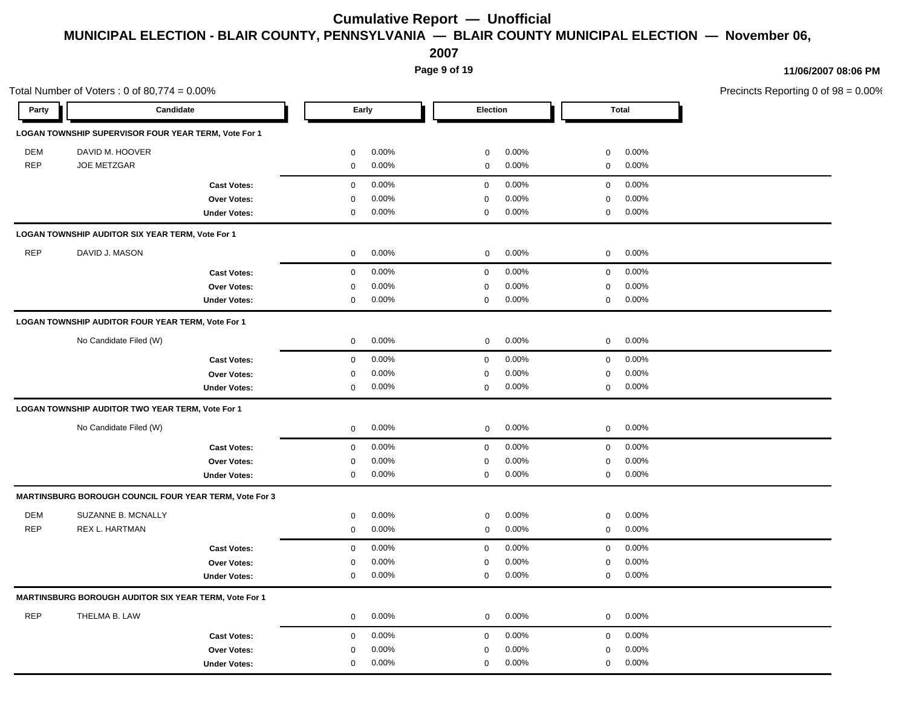**2007**

**Page 9 of 19**

| Total Number of Voters: $0$ of 80,774 = $0.00\%$ |                                                        |                     |                      |             |          |             |              | Precincts Reporting 0 of 98 = 0.00% |
|--------------------------------------------------|--------------------------------------------------------|---------------------|----------------------|-------------|----------|-------------|--------------|-------------------------------------|
| Party                                            | Candidate                                              |                     | Early                | Election    |          |             | <b>Total</b> |                                     |
|                                                  | LOGAN TOWNSHIP SUPERVISOR FOUR YEAR TERM, Vote For 1   |                     |                      |             |          |             |              |                                     |
| <b>DEM</b>                                       | DAVID M. HOOVER                                        |                     | 0.00%<br>$\mathbf 0$ | $\mathbf 0$ | 0.00%    | $\mathbf 0$ | 0.00%        |                                     |
| <b>REP</b>                                       | <b>JOE METZGAR</b>                                     |                     | 0.00%<br>$\mathbf 0$ | $\mathbf 0$ | 0.00%    | $\mathbf 0$ | 0.00%        |                                     |
|                                                  |                                                        | <b>Cast Votes:</b>  | 0.00%<br>$\mathbf 0$ | $\mathbf 0$ | 0.00%    | $\mathbf 0$ | 0.00%        |                                     |
|                                                  |                                                        | Over Votes:         | 0.00%<br>$\mathbf 0$ | $\Omega$    | 0.00%    | $\mathbf 0$ | 0.00%        |                                     |
|                                                  |                                                        | <b>Under Votes:</b> | $\mathbf 0$<br>0.00% | $\mathbf 0$ | 0.00%    | $\mathbf 0$ | 0.00%        |                                     |
|                                                  | LOGAN TOWNSHIP AUDITOR SIX YEAR TERM, Vote For 1       |                     |                      |             |          |             |              |                                     |
| <b>REP</b>                                       | DAVID J. MASON                                         |                     | 0.00%<br>0           | $\mathbf 0$ | 0.00%    | $\mathbf 0$ | 0.00%        |                                     |
|                                                  |                                                        | <b>Cast Votes:</b>  | 0.00%<br>$\mathbf 0$ | $\mathbf 0$ | 0.00%    | $\mathbf 0$ | 0.00%        |                                     |
|                                                  |                                                        | Over Votes:         | 0.00%<br>$\mathbf 0$ | $\mathbf 0$ | 0.00%    | $\pmb{0}$   | 0.00%        |                                     |
|                                                  |                                                        | <b>Under Votes:</b> | 0.00%<br>$\mathbf 0$ | 0           | 0.00%    | $\mathsf 0$ | 0.00%        |                                     |
|                                                  | LOGAN TOWNSHIP AUDITOR FOUR YEAR TERM, Vote For 1      |                     |                      |             |          |             |              |                                     |
|                                                  | No Candidate Filed (W)                                 |                     | 0.00%<br>0           | $\mathbf 0$ | $0.00\%$ | $\mathbf 0$ | 0.00%        |                                     |
|                                                  |                                                        | <b>Cast Votes:</b>  | 0.00%<br>$\mathbf 0$ | $\mathbf 0$ | 0.00%    | $\mathbf 0$ | 0.00%        |                                     |
|                                                  |                                                        | Over Votes:         | 0.00%<br>0           | 0           | 0.00%    | $\pmb{0}$   | 0.00%        |                                     |
|                                                  |                                                        | <b>Under Votes:</b> | 0.00%<br>$\mathbf 0$ | $\mathbf 0$ | 0.00%    | $\mathbf 0$ | 0.00%        |                                     |
|                                                  | LOGAN TOWNSHIP AUDITOR TWO YEAR TERM, Vote For 1       |                     |                      |             |          |             |              |                                     |
|                                                  | No Candidate Filed (W)                                 |                     | 0.00%<br>0           | $\mathbf 0$ | 0.00%    | $\mathbf 0$ | 0.00%        |                                     |
|                                                  |                                                        | <b>Cast Votes:</b>  | 0.00%<br>$\mathbf 0$ | $\mathbf 0$ | 0.00%    | $\mathbf 0$ | 0.00%        |                                     |
|                                                  |                                                        | Over Votes:         | 0.00%<br>0           | 0           | 0.00%    | $\mathbf 0$ | 0.00%        |                                     |
|                                                  |                                                        | <b>Under Votes:</b> | $\mathbf 0$<br>0.00% | $\mathbf 0$ | 0.00%    | $\mathsf 0$ | 0.00%        |                                     |
|                                                  | MARTINSBURG BOROUGH COUNCIL FOUR YEAR TERM, Vote For 3 |                     |                      |             |          |             |              |                                     |
| <b>DEM</b>                                       | SUZANNE B. MCNALLY                                     |                     | 0.00%<br>$\mathbf 0$ | $\mathbf 0$ | 0.00%    | $\mathbf 0$ | 0.00%        |                                     |
| <b>REP</b>                                       | <b>REX L. HARTMAN</b>                                  |                     | 0.00%<br>$\mathbf 0$ | $\mathbf 0$ | 0.00%    | $\mathbf 0$ | 0.00%        |                                     |
|                                                  |                                                        | <b>Cast Votes:</b>  | 0.00%<br>$\mathbf 0$ | $\mathbf 0$ | 0.00%    | $\mathbf 0$ | 0.00%        |                                     |
|                                                  |                                                        | Over Votes:         | 0.00%<br>$\mathbf 0$ | 0           | 0.00%    | $\mathbf 0$ | 0.00%        |                                     |
|                                                  |                                                        | <b>Under Votes:</b> | 0.00%<br>$\mathbf 0$ | $\mathbf 0$ | 0.00%    | $\mathbf 0$ | 0.00%        |                                     |
|                                                  | MARTINSBURG BOROUGH AUDITOR SIX YEAR TERM, Vote For 1  |                     |                      |             |          |             |              |                                     |
| <b>REP</b>                                       | THELMA B. LAW                                          |                     | 0.00%<br>0           | $\mathbf 0$ | 0.00%    | $\mathbf 0$ | 0.00%        |                                     |
|                                                  |                                                        | <b>Cast Votes:</b>  | 0.00%<br>$\mathbf 0$ | $\mathbf 0$ | 0.00%    | $\mathbf 0$ | 0.00%        |                                     |
|                                                  |                                                        | <b>Over Votes:</b>  | 0.00%<br>$\mathbf 0$ | $\mathbf 0$ | 0.00%    | $\mathbf 0$ | 0.00%        |                                     |
|                                                  |                                                        | <b>Under Votes:</b> | 0.00%<br>$\mathbf 0$ | $\mathbf 0$ | 0.00%    | $\mathbf 0$ | 0.00%        |                                     |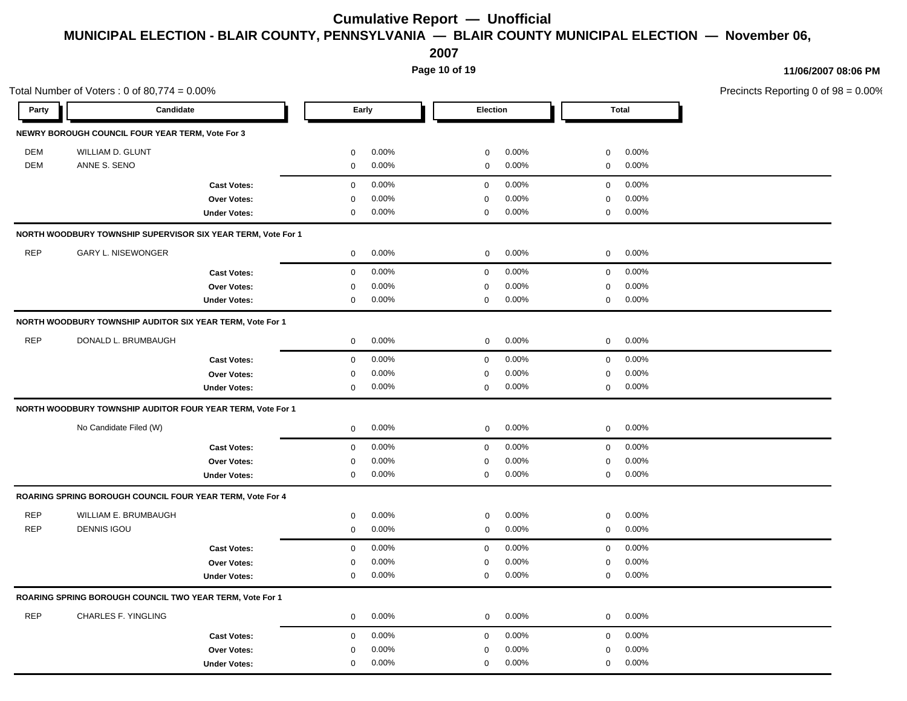**2007**

**Page 10 of 19**

|            | Total Number of Voters: $0$ of 80,774 = $0.00\%$             |                     |                            |                            |                            | Precincts Reporting 0 of 98 = 0.00% |
|------------|--------------------------------------------------------------|---------------------|----------------------------|----------------------------|----------------------------|-------------------------------------|
| Party      | Candidate                                                    |                     | Early                      | Election                   | <b>Total</b>               |                                     |
|            | NEWRY BOROUGH COUNCIL FOUR YEAR TERM, Vote For 3             |                     |                            |                            |                            |                                     |
| <b>DEM</b> | WILLIAM D. GLUNT                                             |                     | $0.00\%$<br>$\mathbf 0$    | $0.00\%$<br>$\mathbf{0}$   | 0.00%<br>$\mathbf 0$       |                                     |
| <b>DEM</b> | ANNE S. SENO                                                 |                     | $0.00\%$<br>$\mathbf 0$    | 0.00%<br>$\mathbf 0$       | $0.00\%$<br>$\overline{0}$ |                                     |
|            |                                                              | <b>Cast Votes:</b>  | $0.00\%$<br>$\overline{0}$ | $0.00\%$<br>$\overline{0}$ | $\overline{0}$<br>$0.00\%$ |                                     |
|            |                                                              | Over Votes:         | 0.00%<br>$\Omega$          | 0.00%<br>$\Omega$          | 0.00%<br>$\mathbf 0$       |                                     |
|            |                                                              | <b>Under Votes:</b> | $0.00\%$<br>$\mathbf 0$    | $0.00\%$<br>$\mathbf 0$    | $0\quad 0.00\%$            |                                     |
|            | NORTH WOODBURY TOWNSHIP SUPERVISOR SIX YEAR TERM, Vote For 1 |                     |                            |                            |                            |                                     |
| <b>REP</b> | <b>GARY L. NISEWONGER</b>                                    |                     | $0.00\%$<br>$\overline{0}$ | $0.00\%$<br>$\mathbf{0}$   | $0\qquad 0.00\%$           |                                     |
|            |                                                              | <b>Cast Votes:</b>  | $0.00\%$<br>$\mathbf 0$    | 0.00%<br>$\mathbf 0$       | $0.00\%$<br>$\mathbf 0$    |                                     |
|            |                                                              | Over Votes:         | 0.00%<br>0                 | 0.00%<br>$\mathbf 0$       | 0.00%<br>$\mathbf 0$       |                                     |
|            |                                                              | <b>Under Votes:</b> | $0.00\%$<br>$\mathbf 0$    | $0.00\%$<br>$\mathbf 0$    | $0.00\%$<br>$\mathbf 0$    |                                     |
|            | NORTH WOODBURY TOWNSHIP AUDITOR SIX YEAR TERM, Vote For 1    |                     |                            |                            |                            |                                     |
| <b>REP</b> | DONALD L. BRUMBAUGH                                          |                     | $0.00\%$<br>$\mathbf 0$    | 0.00%<br>$\mathbf 0$       | $0\qquad 0.00\%$           |                                     |
|            |                                                              | <b>Cast Votes:</b>  | $0.00\%$<br>$\overline{0}$ | $0.00\%$<br>$\mathbf{0}$   | $0 0.00\%$                 |                                     |
|            |                                                              | Over Votes:         | 0.00%<br>$\mathbf 0$       | 0.00%<br>0                 | 0.00%<br>$\mathbf 0$       |                                     |
|            |                                                              | <b>Under Votes:</b> | $0.00\%$<br>$\mathbf 0$    | $0.00\%$<br>$\mathbf 0$    | $0\quad 0.00\%$            |                                     |
|            | NORTH WOODBURY TOWNSHIP AUDITOR FOUR YEAR TERM, Vote For 1   |                     |                            |                            |                            |                                     |
|            | No Candidate Filed (W)                                       |                     | $0.00\%$<br>$\mathbf{0}$   | $0.00\%$<br>$\overline{0}$ | $0 0.00\%$                 |                                     |
|            |                                                              | <b>Cast Votes:</b>  | $0.00\%$<br>$\overline{0}$ | $0.00\%$<br>$\overline{0}$ | $0 0.00\%$                 |                                     |
|            |                                                              | Over Votes:         | 0.00%<br>0                 | 0.00%<br>$\mathbf 0$       | 0.00%<br>$\mathbf 0$       |                                     |
|            |                                                              | <b>Under Votes:</b> | $0.00\%$<br>$\overline{0}$ | $0.00\%$<br>$\mathbf{0}$   | $0\quad 0.00\%$            |                                     |
|            | ROARING SPRING BOROUGH COUNCIL FOUR YEAR TERM, Vote For 4    |                     |                            |                            |                            |                                     |
| <b>REP</b> | WILLIAM E. BRUMBAUGH                                         |                     | 0.00%<br>$\mathbf 0$       | 0.00%<br>$\mathbf 0$       | 0.00%<br>$\mathbf 0$       |                                     |
| <b>REP</b> | <b>DENNIS IGOU</b>                                           |                     | 0.00%<br>$\mathbf 0$       | 0.00%<br>$\mathbf 0$       | $0.00\%$<br>$\overline{0}$ |                                     |
|            |                                                              | <b>Cast Votes:</b>  | $0.00\%$<br>$\mathbf 0$    | $0.00\%$<br>$\mathbf{0}$   | $0.00\%$<br>$\overline{0}$ |                                     |
|            |                                                              | Over Votes:         | $0.00\%$<br>$\mathbf 0$    | 0.00%<br>0                 | 0.00%<br>$\mathbf 0$       |                                     |
|            |                                                              | <b>Under Votes:</b> | $0.00\%$<br>$\mathbf 0$    | 0.00%<br>$\mathbf 0$       | $0\quad 0.00\%$            |                                     |
|            | ROARING SPRING BOROUGH COUNCIL TWO YEAR TERM, Vote For 1     |                     |                            |                            |                            |                                     |
| <b>REP</b> | <b>CHARLES F. YINGLING</b>                                   |                     | $0.00\%$<br>$\mathbf 0$    | $0.00\%$<br>$\mathbf{0}$   | $0 0.00\%$                 |                                     |
|            |                                                              | <b>Cast Votes:</b>  | $0.00\%$<br>$\overline{0}$ | $0.00\%$<br>$\mathbf{0}$   | $0 0.00\%$                 |                                     |
|            |                                                              | Over Votes:         | 0.00%<br>$\mathbf 0$       | 0.00%<br>$\mathbf 0$       | 0.00%<br>0                 |                                     |
|            |                                                              | <b>Under Votes:</b> | 0.00%<br>$\overline{0}$    | 0.00%<br>$\mathbf 0$       | 0.00%<br>$\overline{0}$    |                                     |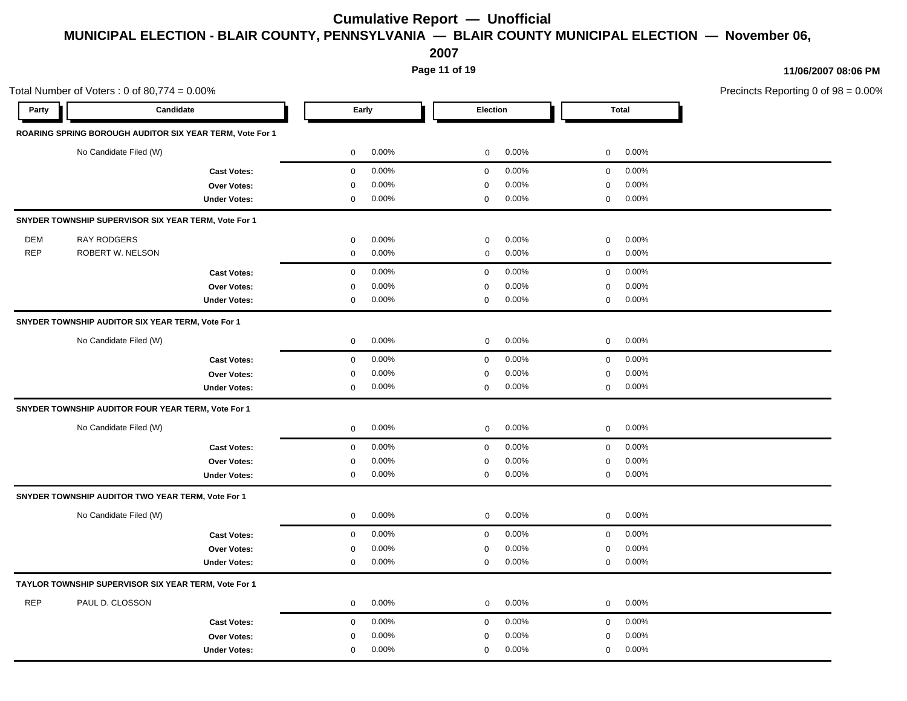**2007**

**Page 11 of 19**

|            | Total Number of Voters: $0$ of 80,774 = $0.00\%$         |                     |                       |              |       |              |              | Precincts Reporting 0 of 98 = 0.00% |
|------------|----------------------------------------------------------|---------------------|-----------------------|--------------|-------|--------------|--------------|-------------------------------------|
| Party      | Candidate                                                |                     | Early                 | Election     |       |              | <b>Total</b> |                                     |
|            | ROARING SPRING BOROUGH AUDITOR SIX YEAR TERM, Vote For 1 |                     |                       |              |       |              |              |                                     |
|            | No Candidate Filed (W)                                   |                     | 0.00%<br>0            | $\mathbf 0$  | 0.00% | $\mathbf 0$  | 0.00%        |                                     |
|            |                                                          | <b>Cast Votes:</b>  | $\mathbf 0$<br>0.00%  | $\mathbf 0$  | 0.00% | $\mathbf 0$  | 0.00%        |                                     |
|            |                                                          | Over Votes:         | 0.00%<br>$\mathbf 0$  | 0            | 0.00% | $\mathbf 0$  | 0.00%        |                                     |
|            |                                                          | <b>Under Votes:</b> | $0.00\%$<br>0         | 0            | 0.00% | 0            | 0.00%        |                                     |
|            | SNYDER TOWNSHIP SUPERVISOR SIX YEAR TERM, Vote For 1     |                     |                       |              |       |              |              |                                     |
| <b>DEM</b> | RAY RODGERS                                              |                     | 0.00%<br>0            | $\mathbf 0$  | 0.00% | $\mathbf 0$  | 0.00%        |                                     |
| <b>REP</b> | ROBERT W. NELSON                                         |                     | 0.00%<br>$\mathbf 0$  | $\mathbf 0$  | 0.00% | $\mathbf 0$  | 0.00%        |                                     |
|            |                                                          | <b>Cast Votes:</b>  | 0.00%<br>$\mathbf 0$  | $\mathbf 0$  | 0.00% | $\mathbf 0$  | 0.00%        |                                     |
|            |                                                          | Over Votes:         | 0.00%<br>$\mathbf 0$  | $\Omega$     | 0.00% | $\mathbf 0$  | 0.00%        |                                     |
|            |                                                          | <b>Under Votes:</b> | 0.00%<br>$\mathbf 0$  | $\mathbf 0$  | 0.00% | $\mathsf 0$  | 0.00%        |                                     |
|            | SNYDER TOWNSHIP AUDITOR SIX YEAR TERM, Vote For 1        |                     |                       |              |       |              |              |                                     |
|            | No Candidate Filed (W)                                   |                     | 0.00%<br>$\mathbf 0$  | $\mathbf 0$  | 0.00% | $\mathbf 0$  | 0.00%        |                                     |
|            |                                                          | <b>Cast Votes:</b>  | 0.00%<br>$\mathbf 0$  | $\mathbf 0$  | 0.00% | $\mathbf 0$  | 0.00%        |                                     |
|            |                                                          | Over Votes:         | 0.00%<br>$\mathbf 0$  | 0            | 0.00% | $\mathbf 0$  | 0.00%        |                                     |
|            |                                                          | <b>Under Votes:</b> | 0.00%<br>$\mathbf 0$  | $\mathbf 0$  | 0.00% | $\mathbf 0$  | 0.00%        |                                     |
|            | SNYDER TOWNSHIP AUDITOR FOUR YEAR TERM, Vote For 1       |                     |                       |              |       |              |              |                                     |
|            | No Candidate Filed (W)                                   |                     | 0.00%<br>$\mathbf 0$  | $\mathbf 0$  | 0.00% | $\mathbf 0$  | 0.00%        |                                     |
|            |                                                          | <b>Cast Votes:</b>  | 0.00%<br>$\mathbf 0$  | $\mathbf 0$  | 0.00% | $\mathbf 0$  | 0.00%        |                                     |
|            |                                                          | Over Votes:         | 0.00%<br>0            | 0            | 0.00% | $\mathbf 0$  | 0.00%        |                                     |
|            |                                                          | <b>Under Votes:</b> | 0.00%<br>$\mathbf 0$  | $\mathbf 0$  | 0.00% | $\mathbf 0$  | 0.00%        |                                     |
|            | SNYDER TOWNSHIP AUDITOR TWO YEAR TERM, Vote For 1        |                     |                       |              |       |              |              |                                     |
|            | No Candidate Filed (W)                                   |                     | 0.00%<br>$\mathbf 0$  | $\mathbf 0$  | 0.00% | $\mathbf 0$  | 0.00%        |                                     |
|            |                                                          | <b>Cast Votes:</b>  | 0.00%<br>$\mathbf 0$  | $\mathbf 0$  | 0.00% | $\mathbf 0$  | 0.00%        |                                     |
|            |                                                          | <b>Over Votes:</b>  | 0.00%<br>$\mathbf 0$  | 0            | 0.00% | $\mathbf 0$  | 0.00%        |                                     |
|            |                                                          | <b>Under Votes:</b> | 0.00%<br>0            | 0            | 0.00% | 0            | 0.00%        |                                     |
|            | TAYLOR TOWNSHIP SUPERVISOR SIX YEAR TERM, Vote For 1     |                     |                       |              |       |              |              |                                     |
| <b>REP</b> | PAUL D. CLOSSON                                          |                     | 0.00%<br>$\mathsf{O}$ | $\mathbf{0}$ | 0.00% | $\mathbf{0}$ | 0.00%        |                                     |
|            |                                                          | <b>Cast Votes:</b>  | 0.00%<br>$\mathbf 0$  | $\mathbf 0$  | 0.00% | $\mathbf 0$  | 0.00%        |                                     |
|            |                                                          | <b>Over Votes:</b>  | 0.00%<br>$\mathbf 0$  | 0            | 0.00% | 0            | 0.00%        |                                     |
|            |                                                          | <b>Under Votes:</b> | 0.00%<br>$\mathbf 0$  | $\mathbf 0$  | 0.00% | $\mathbf 0$  | 0.00%        |                                     |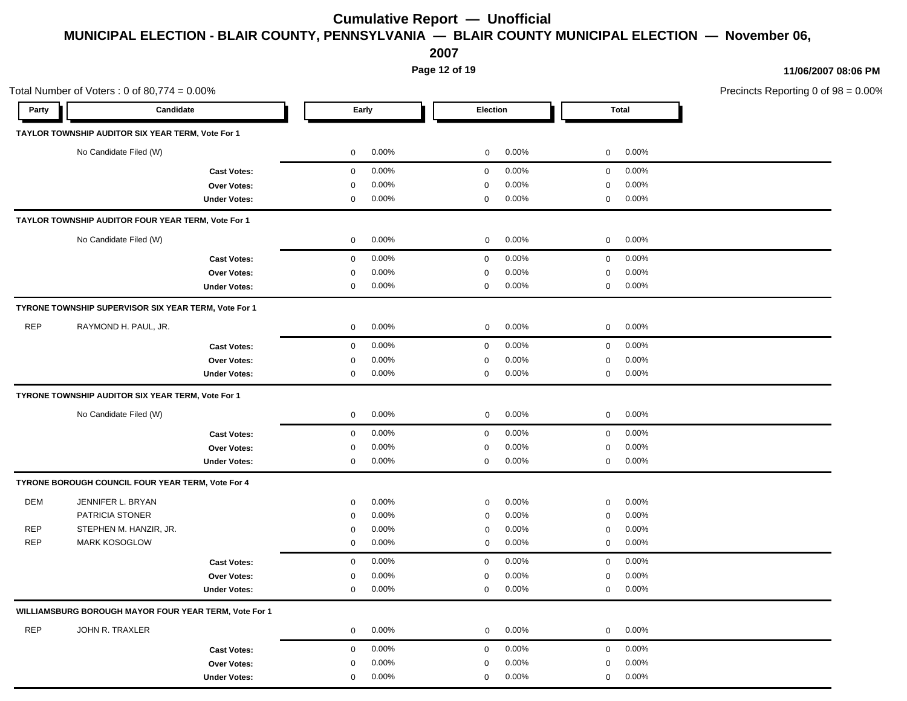**2007**

**Page 12 of 19**

|            | Total Number of Voters: $0$ of 80,774 = $0.00\%$      |  |                            |                            |                            | Precincts Reporting 0 of 98 = 0.00% |
|------------|-------------------------------------------------------|--|----------------------------|----------------------------|----------------------------|-------------------------------------|
| Party      | Candidate                                             |  | Early                      | Election                   | <b>Total</b>               |                                     |
|            | TAYLOR TOWNSHIP AUDITOR SIX YEAR TERM, Vote For 1     |  |                            |                            |                            |                                     |
|            | No Candidate Filed (W)                                |  | $0.00\%$<br>$\overline{0}$ | $0.00\%$<br>$\overline{0}$ | $0\qquad 0.00\%$           |                                     |
|            | <b>Cast Votes:</b>                                    |  | $0.00\%$<br>$\overline{0}$ | $0.00\%$<br>$\mathbf{0}$   | $0.00\%$<br>$\overline{0}$ |                                     |
|            | Over Votes:                                           |  | 0.00%<br>0                 | 0.00%<br>0                 | 0.00%<br>$\overline{0}$    |                                     |
|            | <b>Under Votes:</b>                                   |  | 0.00%<br>0                 | 0.00%<br>$\mathbf 0$       | $0.00\%$<br>$\overline{0}$ |                                     |
|            | TAYLOR TOWNSHIP AUDITOR FOUR YEAR TERM, Vote For 1    |  |                            |                            |                            |                                     |
|            | No Candidate Filed (W)                                |  | $0.00\%$<br>$\overline{0}$ | $0.00\%$<br>$\overline{0}$ | $0\qquad 0.00\%$           |                                     |
|            | <b>Cast Votes:</b>                                    |  | $0.00\%$<br>$\overline{0}$ | $0.00\%$<br>$\mathbf{0}$   | $0\qquad 0.00\%$           |                                     |
|            | Over Votes:                                           |  | 0.00%<br>$\mathbf 0$       | 0.00%<br>$\mathbf 0$       | 0.00%<br>$\overline{0}$    |                                     |
|            | <b>Under Votes:</b>                                   |  | 0.00%<br>$\mathbf 0$       | $0.00\%$<br>$\mathbf 0$    | $0 0.00\%$                 |                                     |
|            | TYRONE TOWNSHIP SUPERVISOR SIX YEAR TERM, Vote For 1  |  |                            |                            |                            |                                     |
| <b>REP</b> | RAYMOND H. PAUL, JR.                                  |  | $0.00\%$<br>$\overline{0}$ | $0.00\%$<br>$\mathbf 0$    | $0\qquad 0.00\%$           |                                     |
|            | <b>Cast Votes:</b>                                    |  | $0.00\%$<br>$\mathbf 0$    | $0.00\%$<br>$\overline{0}$ | $0.00\%$<br>$\overline{0}$ |                                     |
|            | Over Votes:                                           |  | 0.00%<br>$\mathbf 0$       | 0.00%<br>0                 | 0.00%<br>$\mathbf 0$       |                                     |
|            | <b>Under Votes:</b>                                   |  | $0.00\%$<br>$\mathbf 0$    | 0.00%<br>0                 | $0.00\%$<br>$\mathbf 0$    |                                     |
|            | TYRONE TOWNSHIP AUDITOR SIX YEAR TERM, Vote For 1     |  |                            |                            |                            |                                     |
|            | No Candidate Filed (W)                                |  | $0.00\%$<br>$\overline{0}$ | 0.00%<br>$\mathbf{0}$      | 0.00%<br>$\overline{0}$    |                                     |
|            | <b>Cast Votes:</b>                                    |  | $0.00\%$<br>$\overline{0}$ | $0.00\%$<br>$\mathbf{0}$   | $0\qquad 0.00\%$           |                                     |
|            | Over Votes:                                           |  | $0.00\%$<br>0              | 0.00%<br>0                 | $0.00\%$<br>$\mathbf 0$    |                                     |
|            | <b>Under Votes:</b>                                   |  | $0.00\%$<br>$\overline{0}$ | $0.00\%$<br>$\mathbf{0}$   | $0\quad 0.00\%$            |                                     |
|            | TYRONE BOROUGH COUNCIL FOUR YEAR TERM, Vote For 4     |  |                            |                            |                            |                                     |
| DEM        | JENNIFER L. BRYAN                                     |  | $0.00\%$<br>$\Omega$       | 0.00%<br>0                 | $0.00\%$<br>$\mathbf 0$    |                                     |
|            | PATRICIA STONER                                       |  | 0.00%<br>0                 | 0.00%<br>$\mathbf 0$       | $0.00\%$<br>$\mathbf 0$    |                                     |
| <b>REP</b> | STEPHEN M. HANZIR, JR.                                |  | $0.00\%$<br>0              | 0.00%<br>$\mathbf 0$       | 0.00%<br>$\mathbf 0$       |                                     |
| <b>REP</b> | <b>MARK KOSOGLOW</b>                                  |  | $0.00\%$<br>$\mathbf{0}$   | $0.00\%$<br>$\mathbf 0$    | 0.00%<br>$\overline{0}$    |                                     |
|            | <b>Cast Votes:</b>                                    |  | 0.00%<br>$\mathbf{0}$      | 0.00%<br>$\mathbf{0}$      | 0.00%<br>$\overline{0}$    |                                     |
|            | Over Votes:                                           |  | 0.00%<br>0                 | 0.00%<br>0                 | $0.00\%$<br>$\mathbf 0$    |                                     |
|            | <b>Under Votes:</b>                                   |  | 0.00%<br>$\overline{0}$    | 0.00%<br>$\mathbf{0}$      | $0.00\%$<br>$\overline{0}$ |                                     |
|            | WILLIAMSBURG BOROUGH MAYOR FOUR YEAR TERM, Vote For 1 |  |                            |                            |                            |                                     |
| REP        | JOHN R. TRAXLER                                       |  | $0.00\%$<br>$\overline{0}$ | $0.00\%$<br>$\overline{0}$ | $0\qquad 0.00\%$           |                                     |
|            | <b>Cast Votes:</b>                                    |  | $0.00\%$<br>$\overline{0}$ | $0.00\%$<br>$\mathbf{0}$   | $0 0.00\%$                 |                                     |
|            | Over Votes:                                           |  | $0.00\%$<br>$\mathbf 0$    | $0.00\%$<br>$\mathbf 0$    | $0.00\%$<br>$\overline{0}$ |                                     |
|            | <b>Under Votes:</b>                                   |  | $0.00\%$<br>$\mathbf{0}$   | $0.00\%$<br>$\mathbf 0$    | $0.00\%$<br>$\overline{0}$ |                                     |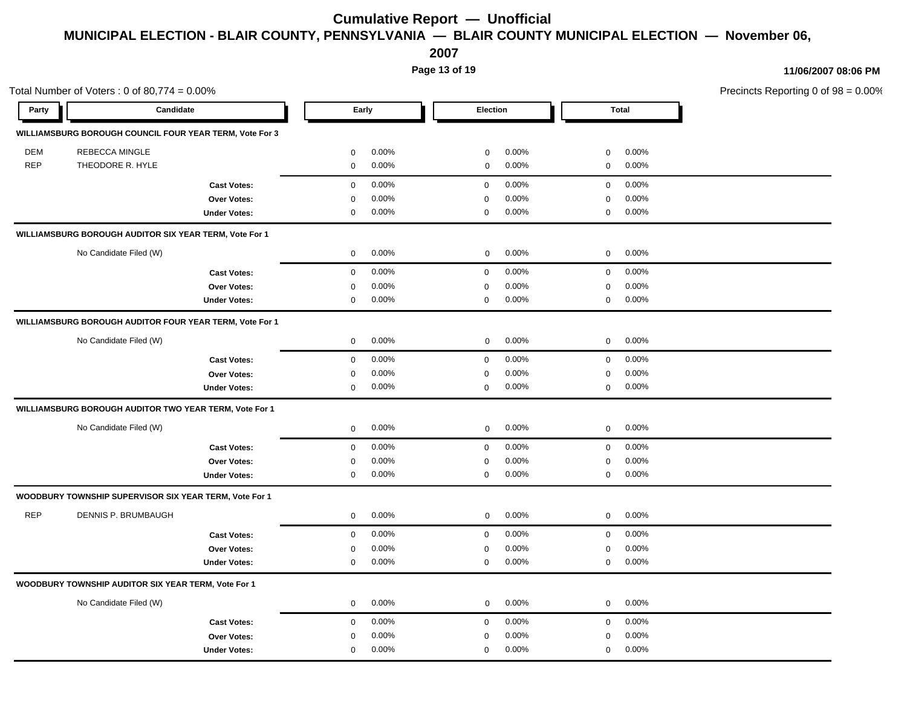**2007**

**Page 13 of 19**

|            | Total Number of Voters: $0$ of 80,774 = $0.00\%$        |                            |                            |                            | Precincts Reporting 0 of 98 = 0.00% |
|------------|---------------------------------------------------------|----------------------------|----------------------------|----------------------------|-------------------------------------|
| Party      | Candidate                                               | Early                      | Election                   | <b>Total</b>               |                                     |
|            | WILLIAMSBURG BOROUGH COUNCIL FOUR YEAR TERM, Vote For 3 |                            |                            |                            |                                     |
| DEM        | <b>REBECCA MINGLE</b>                                   | $0.00\%$<br>0              | 0.00%<br>$\mathbf 0$       | 0.00%<br>$\overline{0}$    |                                     |
| REP        | THEODORE R. HYLE                                        | 0.00%<br>0                 | 0.00%<br>$\mathbf 0$       | $0.00\%$<br>$\overline{0}$ |                                     |
|            | <b>Cast Votes:</b>                                      | $0.00\%$<br>$\overline{0}$ | $0.00\%$<br>$\overline{0}$ | $0 0.00\%$                 |                                     |
|            | <b>Over Votes:</b>                                      | 0.00%<br>$\Omega$          | 0.00%<br>$\mathbf 0$       | 0.00%<br>$\overline{0}$    |                                     |
|            | <b>Under Votes:</b>                                     | $0.00\%$<br>$\mathbf 0$    | $0.00\%$<br>$\mathbf 0$    | $0\qquad 0.00\%$           |                                     |
|            | WILLIAMSBURG BOROUGH AUDITOR SIX YEAR TERM, Vote For 1  |                            |                            |                            |                                     |
|            | No Candidate Filed (W)                                  | $0.00\%$<br>$\overline{0}$ | $0.00\%$<br>$\mathbf{0}$   | $0\quad 0.00\%$            |                                     |
|            | <b>Cast Votes:</b>                                      | $0.00\%$<br>$\overline{0}$ | $0.00\%$<br>$\overline{0}$ | $0.00\%$<br>$\overline{0}$ |                                     |
|            | <b>Over Votes:</b>                                      | 0.00%<br>$\Omega$          | 0.00%<br>$\Omega$          | $0.00\%$<br>$\Omega$       |                                     |
|            | <b>Under Votes:</b>                                     | $0.00\%$<br>$\mathbf 0$    | $0.00\%$<br>$\mathbf 0$    | $0\quad 0.00\%$            |                                     |
|            | WILLIAMSBURG BOROUGH AUDITOR FOUR YEAR TERM, Vote For 1 |                            |                            |                            |                                     |
|            | No Candidate Filed (W)                                  | $0.00\%$<br>$\overline{0}$ | $0.00\%$<br>$\overline{0}$ | $0 0.00\%$                 |                                     |
|            | <b>Cast Votes:</b>                                      | $0.00\%$<br>$\overline{0}$ | $0.00\%$<br>$\mathbf{0}$   | $\overline{0}$<br>$0.00\%$ |                                     |
|            | Over Votes:                                             | 0.00%<br>0                 | 0.00%<br>0                 | 0.00%<br>$\mathbf 0$       |                                     |
|            | <b>Under Votes:</b>                                     | $0.00\%$<br>$\mathbf 0$    | 0.00%<br>$\mathbf{0}$      | $0\quad 0.00\%$            |                                     |
|            | WILLIAMSBURG BOROUGH AUDITOR TWO YEAR TERM, Vote For 1  |                            |                            |                            |                                     |
|            | No Candidate Filed (W)                                  | $0.00\%$<br>$\overline{0}$ | $0.00\%$<br>$\overline{0}$ | $0\qquad 0.00\%$           |                                     |
|            | <b>Cast Votes:</b>                                      | 0.00%<br>$\overline{0}$    | $0.00\%$<br>$\mathbf 0$    | $\overline{0}$<br>$0.00\%$ |                                     |
|            | Over Votes:                                             | 0.00%<br>$\mathbf 0$       | 0.00%<br>$\mathbf 0$       | 0.00%<br>$\mathbf 0$       |                                     |
|            | <b>Under Votes:</b>                                     | $0.00\%$<br>$\mathbf 0$    | 0.00%<br>$\mathbf 0$       | $0 0.00\%$                 |                                     |
|            | WOODBURY TOWNSHIP SUPERVISOR SIX YEAR TERM, Vote For 1  |                            |                            |                            |                                     |
| <b>REP</b> | DENNIS P. BRUMBAUGH                                     | $0.00\%$<br>$\overline{0}$ | 0.00%<br>$\mathbf 0$       | $0.00\%$<br>$\overline{0}$ |                                     |
|            | <b>Cast Votes:</b>                                      | 0.00%<br>$\mathbf 0$       | $0.00\%$<br>$\mathbf 0$    | $0.00\%$<br>$\mathbf 0$    |                                     |
|            | Over Votes:                                             | 0.00%<br>0                 | 0.00%<br>$\mathbf 0$       | 0.00%<br>$\overline{0}$    |                                     |
|            | <b>Under Votes:</b>                                     | $0.00\%$<br>$\overline{0}$ | 0.00%<br>$\mathbf{0}$      | $\mathbf 0$<br>$0.00\%$    |                                     |
|            | WOODBURY TOWNSHIP AUDITOR SIX YEAR TERM, Vote For 1     |                            |                            |                            |                                     |
|            | No Candidate Filed (W)                                  | $0.00\%$<br>$\mathbf 0$    | $0.00\%$<br>$\mathbf{0}$   | $0\quad 0.00\%$            |                                     |
|            | <b>Cast Votes:</b>                                      | $0.00\%$<br>$\overline{0}$ | $0.00\%$<br>$\mathbf{0}$   | $0\quad 0.00\%$            |                                     |
|            | Over Votes:                                             | 0.00%<br>0                 | 0.00%<br>$\mathbf 0$       | 0.00%<br>$\mathbf 0$       |                                     |
|            | <b>Under Votes:</b>                                     | 0.00%<br>$\mathbf{0}$      | 0.00%<br>$\mathbf{0}$      | 0.00%<br>$\mathbf 0$       |                                     |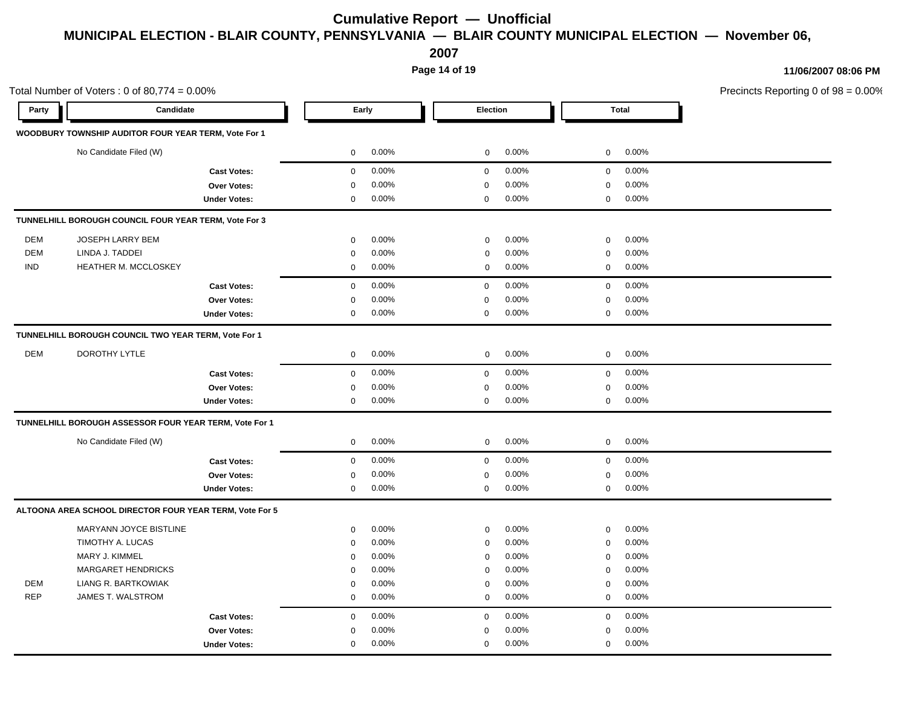**2007**

**Page 14 of 19**

|            | Total Number of Voters: $0$ of 80,774 = $0.00\%$        |                     |              |       |             |       |              |       | Precincts Reporting 0 of 98 = 0.00% |
|------------|---------------------------------------------------------|---------------------|--------------|-------|-------------|-------|--------------|-------|-------------------------------------|
| Party      | Candidate                                               |                     | Early        |       | Election    |       | <b>Total</b> |       |                                     |
|            | WOODBURY TOWNSHIP AUDITOR FOUR YEAR TERM, Vote For 1    |                     |              |       |             |       |              |       |                                     |
|            | No Candidate Filed (W)                                  |                     | $\mathbf 0$  | 0.00% | $\mathbf 0$ | 0.00% | $\mathbf 0$  | 0.00% |                                     |
|            |                                                         | <b>Cast Votes:</b>  | $\mathbf 0$  | 0.00% | $\mathbf 0$ | 0.00% | $\mathbf 0$  | 0.00% |                                     |
|            |                                                         | <b>Over Votes:</b>  | $\mathsf 0$  | 0.00% | 0           | 0.00% | $\mathbf 0$  | 0.00% |                                     |
|            |                                                         | <b>Under Votes:</b> | $\mathbf 0$  | 0.00% | 0           | 0.00% | $\mathbf 0$  | 0.00% |                                     |
|            | TUNNELHILL BOROUGH COUNCIL FOUR YEAR TERM, Vote For 3   |                     |              |       |             |       |              |       |                                     |
| <b>DEM</b> | JOSEPH LARRY BEM                                        |                     | $\mathbf 0$  | 0.00% | $\mathbf 0$ | 0.00% | $\mathbf 0$  | 0.00% |                                     |
| <b>DEM</b> | LINDA J. TADDEI                                         |                     | $\mathbf 0$  | 0.00% | $\mathbf 0$ | 0.00% | $\mathbf 0$  | 0.00% |                                     |
| <b>IND</b> | HEATHER M. MCCLOSKEY                                    |                     | $\mathbf 0$  | 0.00% | $\mathbf 0$ | 0.00% | $\mathbf 0$  | 0.00% |                                     |
|            |                                                         | <b>Cast Votes:</b>  | $\mathbf 0$  | 0.00% | $\mathbf 0$ | 0.00% | $\mathbf 0$  | 0.00% |                                     |
|            |                                                         | <b>Over Votes:</b>  | $\mathbf 0$  | 0.00% | $\mathbf 0$ | 0.00% | $\mathbf 0$  | 0.00% |                                     |
|            |                                                         | <b>Under Votes:</b> | $\mathsf 0$  | 0.00% | $\mathbf 0$ | 0.00% | $\mathsf 0$  | 0.00% |                                     |
|            | TUNNELHILL BOROUGH COUNCIL TWO YEAR TERM, Vote For 1    |                     |              |       |             |       |              |       |                                     |
| <b>DEM</b> | DOROTHY LYTLE                                           |                     | $\mathbf 0$  | 0.00% | $\mathbf 0$ | 0.00% | $\mathbf{0}$ | 0.00% |                                     |
|            |                                                         | <b>Cast Votes:</b>  | $\mathbf 0$  | 0.00% | $\mathbf 0$ | 0.00% | $\mathbf 0$  | 0.00% |                                     |
|            |                                                         | <b>Over Votes:</b>  | 0            | 0.00% | 0           | 0.00% | $\mathbf 0$  | 0.00% |                                     |
|            |                                                         | <b>Under Votes:</b> | $\mathbf 0$  | 0.00% | $\mathbf 0$ | 0.00% | $\mathbf 0$  | 0.00% |                                     |
|            | TUNNELHILL BOROUGH ASSESSOR FOUR YEAR TERM, Vote For 1  |                     |              |       |             |       |              |       |                                     |
|            | No Candidate Filed (W)                                  |                     | 0            | 0.00% | $\mathbf 0$ | 0.00% | $\mathbf 0$  | 0.00% |                                     |
|            |                                                         | <b>Cast Votes:</b>  | $\mathbf 0$  | 0.00% | $\mathbf 0$ | 0.00% | $\mathbf 0$  | 0.00% |                                     |
|            |                                                         | <b>Over Votes:</b>  | $\mathbf 0$  | 0.00% | $\mathbf 0$ | 0.00% | $\mathbf 0$  | 0.00% |                                     |
|            |                                                         | <b>Under Votes:</b> | $\mathbf{0}$ | 0.00% | $\mathbf 0$ | 0.00% | $\mathbf 0$  | 0.00% |                                     |
|            | ALTOONA AREA SCHOOL DIRECTOR FOUR YEAR TERM, Vote For 5 |                     |              |       |             |       |              |       |                                     |
|            | MARYANN JOYCE BISTLINE                                  |                     | $\mathsf 0$  | 0.00% | $\mathbf 0$ | 0.00% | $\mathbf 0$  | 0.00% |                                     |
|            | TIMOTHY A. LUCAS                                        |                     | 0            | 0.00% | 0           | 0.00% | $\mathbf 0$  | 0.00% |                                     |
|            | MARY J. KIMMEL                                          |                     | $\mathbf 0$  | 0.00% | 0           | 0.00% | $\mathbf 0$  | 0.00% |                                     |
|            | <b>MARGARET HENDRICKS</b>                               |                     | $\mathbf 0$  | 0.00% | $\mathbf 0$ | 0.00% | $\mathbf 0$  | 0.00% |                                     |
| DEM        | LIANG R. BARTKOWIAK                                     |                     | $\mathsf 0$  | 0.00% | $\mathbf 0$ | 0.00% | $\pmb{0}$    | 0.00% |                                     |
| <b>REP</b> | JAMES T. WALSTROM                                       |                     | $\mathbf 0$  | 0.00% | $\mathbf 0$ | 0.00% | $\mathbf 0$  | 0.00% |                                     |
|            |                                                         | <b>Cast Votes:</b>  | $\mathbf 0$  | 0.00% | $\mathbf 0$ | 0.00% | $\mathbf 0$  | 0.00% |                                     |
|            |                                                         | Over Votes:         | $\mathbf 0$  | 0.00% | $\Omega$    | 0.00% | $\mathbf 0$  | 0.00% |                                     |
|            |                                                         | <b>Under Votes:</b> | $\mathbf 0$  | 0.00% | 0           | 0.00% | $\mathbf 0$  | 0.00% |                                     |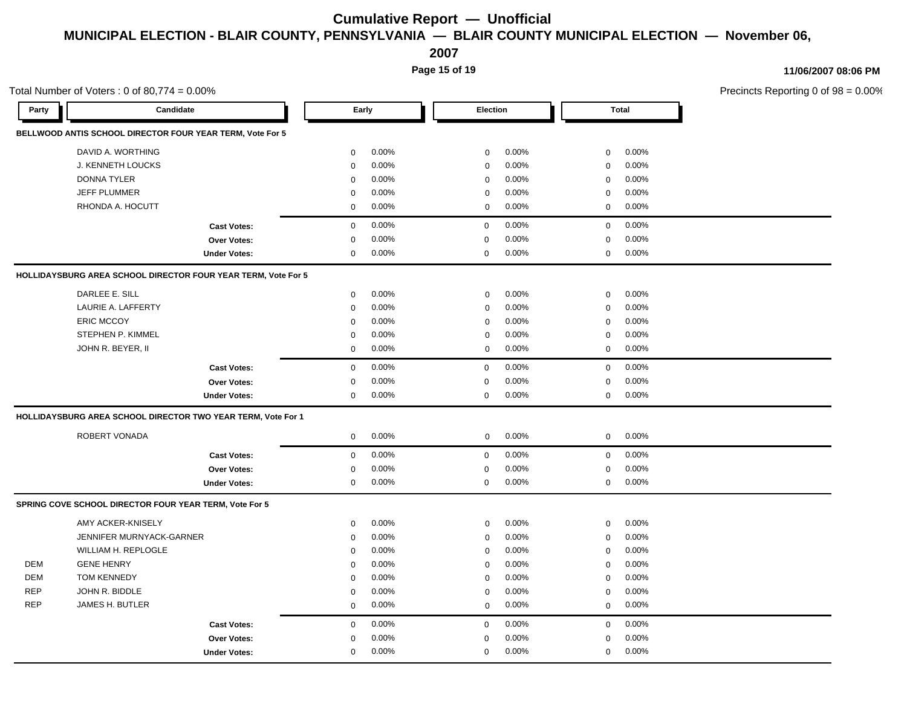**2007**

**Page 15 of 19**

|            | Total Number of Voters : 0 of 80,774 = 0.00%                  |                                                                   |                          |                            | Precincts Reporting 0 of 98 = 0.00% |  |
|------------|---------------------------------------------------------------|-------------------------------------------------------------------|--------------------------|----------------------------|-------------------------------------|--|
| Party      | Candidate                                                     | Early                                                             | Election                 | <b>Total</b>               |                                     |  |
|            | BELLWOOD ANTIS SCHOOL DIRECTOR FOUR YEAR TERM, Vote For 5     |                                                                   |                          |                            |                                     |  |
|            | DAVID A. WORTHING                                             | 0.00%<br>$\mathbf 0$                                              | 0.00%<br>$\mathbf 0$     | 0.00%<br>$\mathbf 0$       |                                     |  |
|            | J. KENNETH LOUCKS                                             | $0.00\%$<br>$\Omega$                                              | 0.00%<br>$\mathbf{0}$    | 0.00%<br>$\mathbf 0$       |                                     |  |
|            | <b>DONNA TYLER</b>                                            | 0.00%<br>$\mathbf 0$<br>0.00%<br>$\Omega$<br>0.00%<br>$\mathbf 0$ | 0.00%<br>$\mathbf 0$     | 0.00%<br>$\mathbf 0$       |                                     |  |
|            | <b>JEFF PLUMMER</b>                                           |                                                                   | 0.00%<br>0               | 0.00%<br>$\mathbf 0$       |                                     |  |
|            | RHONDA A. HOCUTT                                              |                                                                   | 0.00%<br>$\mathbf{0}$    | $0.00\%$<br>$\overline{0}$ |                                     |  |
|            | <b>Cast Votes:</b>                                            | $0.00\%$<br>$\mathbf{0}$                                          | 0.00%<br>$\mathbf 0$     | $\overline{0}$<br>0.00%    |                                     |  |
|            | <b>Over Votes:</b>                                            | 0.00%<br>$\Omega$                                                 | 0.00%<br>$\Omega$        | 0.00%<br>$\Omega$          |                                     |  |
|            | <b>Under Votes:</b>                                           | $0.00\%$<br>0                                                     | 0.00%<br>$\mathbf 0$     | $0 0.00\%$                 |                                     |  |
|            | HOLLIDAYSBURG AREA SCHOOL DIRECTOR FOUR YEAR TERM, Vote For 5 |                                                                   |                          |                            |                                     |  |
|            | DARLEE E. SILL                                                | 0.00%<br>$\mathbf 0$                                              | 0.00%<br>$\mathbf 0$     | 0.00%<br>$\mathbf 0$       |                                     |  |
|            | LAURIE A. LAFFERTY                                            | $0.00\%$<br>$\Omega$                                              | 0.00%<br>$\mathbf 0$     | $0.00\%$<br>$\overline{0}$ |                                     |  |
|            | <b>ERIC MCCOY</b>                                             | 0.00%<br>$\mathbf 0$                                              | $0.00\%$<br>$\mathbf 0$  | 0.00%<br>$\mathbf 0$       |                                     |  |
|            | STEPHEN P. KIMMEL                                             | 0.00%<br>0                                                        | 0.00%<br>$\mathbf 0$     | 0.00%<br>$\mathbf 0$       |                                     |  |
|            | JOHN R. BEYER, II                                             | 0.00%<br>$\mathbf 0$                                              | $0.00\%$<br>$\mathbf{0}$ | $0.00\%$<br>$\mathbf 0$    |                                     |  |
|            | <b>Cast Votes:</b>                                            | 0.00%<br>$\mathbf 0$                                              | $0.00\%$<br>$\mathbf 0$  | $0.00\%$<br>$\overline{0}$ |                                     |  |
|            | Over Votes:                                                   | 0.00%<br>0                                                        | 0.00%<br>0               | 0.00%<br>$\mathbf 0$       |                                     |  |
|            | <b>Under Votes:</b>                                           | 0.00%<br>$\mathbf 0$                                              | 0.00%<br>$\mathbf 0$     | $0 0.00\%$                 |                                     |  |
|            | HOLLIDAYSBURG AREA SCHOOL DIRECTOR TWO YEAR TERM, Vote For 1  |                                                                   |                          |                            |                                     |  |
|            | ROBERT VONADA                                                 | $0.00\%$<br>$\mathbf 0$                                           | 0.00%<br>$\overline{0}$  | $0.00\%$<br>$\overline{0}$ |                                     |  |
|            | <b>Cast Votes:</b>                                            | $0.00\%$<br>$\mathbf{0}$                                          | 0.00%<br>$\overline{0}$  | $0.00\%$<br>$\overline{0}$ |                                     |  |
|            | Over Votes:                                                   | 0.00%<br>$\mathbf 0$                                              | 0.00%<br>$\mathbf 0$     | 0.00%<br>$\mathbf 0$       |                                     |  |
|            | <b>Under Votes:</b>                                           | $0.00\%$<br>$\mathbf 0$                                           | $0.00\%$<br>$\mathbf 0$  | $0.00\%$<br>$\overline{0}$ |                                     |  |
|            | SPRING COVE SCHOOL DIRECTOR FOUR YEAR TERM, Vote For 5        |                                                                   |                          |                            |                                     |  |
|            | AMY ACKER-KNISELY                                             | 0.00%<br>$\mathbf 0$                                              | $0.00\%$<br>$\mathbf 0$  | 0.00%<br>$\mathbf 0$       |                                     |  |
|            | JENNIFER MURNYACK-GARNER                                      | 0.00%<br>$\mathbf 0$                                              | 0.00%<br>$\mathbf 0$     | 0.00%<br>$\mathbf 0$       |                                     |  |
|            | WILLIAM H. REPLOGLE                                           | 0.00%<br>$\mathbf 0$                                              | 0.00%<br>$\mathbf 0$     | 0.00%<br>$\mathbf 0$       |                                     |  |
| DEM        | <b>GENE HENRY</b>                                             | 0.00%<br>$\mathbf 0$                                              | 0.00%<br>$\mathbf 0$     | 0.00%<br>$\overline{0}$    |                                     |  |
| DEM        | TOM KENNEDY                                                   | 0.00%<br>0                                                        | 0.00%<br>$\mathbf 0$     | 0.00%<br>$\mathbf 0$       |                                     |  |
| <b>REP</b> | JOHN R. BIDDLE                                                | $0.00\%$<br>$\mathbf 0$                                           | 0.00%<br>$\mathbf 0$     | 0.00%<br>$\mathbf 0$       |                                     |  |
| <b>REP</b> | JAMES H. BUTLER                                               | $0.00\%$<br>$\mathbf 0$                                           | 0.00%<br>$\mathbf 0$     | $0.00\%$<br>$\mathbf 0$    |                                     |  |
|            | <b>Cast Votes:</b>                                            | $0.00\%$<br>$\overline{0}$                                        | 0.00%<br>$\mathbf{0}$    | $0.00\%$<br>$\mathbf 0$    |                                     |  |
|            | Over Votes:                                                   | 0.00%<br>$\mathbf 0$                                              | 0.00%<br>$\mathbf 0$     | 0.00%<br>$\mathbf 0$       |                                     |  |
|            | <b>Under Votes:</b>                                           | 0.00%<br>$\mathbf{0}$                                             | 0.00%<br>$\mathbf{0}$    | 0.00%<br>$\overline{0}$    |                                     |  |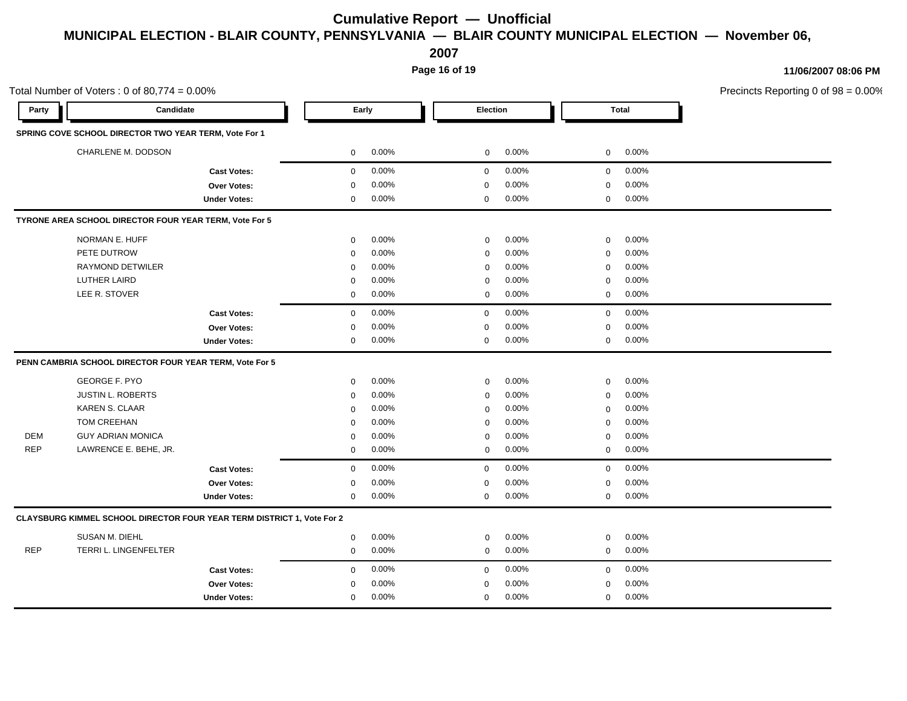**2007**

**Page 16 of 19**

| Total Number of Voters: $0$ of 80,774 = $0.00\%$ |                                                                        |                     |              |       |                 |       |             | Precincts Reporting 0 of 98 = 0.00% |  |
|--------------------------------------------------|------------------------------------------------------------------------|---------------------|--------------|-------|-----------------|-------|-------------|-------------------------------------|--|
| Party                                            | Candidate                                                              |                     | Early        |       | <b>Election</b> |       | Total       |                                     |  |
|                                                  | SPRING COVE SCHOOL DIRECTOR TWO YEAR TERM, Vote For 1                  |                     |              |       |                 |       |             |                                     |  |
|                                                  | CHARLENE M. DODSON                                                     |                     | $\mathbf 0$  | 0.00% | $\mathbf 0$     | 0.00% | $\mathbf 0$ | 0.00%                               |  |
|                                                  |                                                                        | <b>Cast Votes:</b>  | $\mathbf 0$  | 0.00% | $\mathbf 0$     | 0.00% | $\mathbf 0$ | 0.00%                               |  |
|                                                  |                                                                        | Over Votes:         | $\mathbf 0$  | 0.00% | $\mathbf 0$     | 0.00% | $\mathbf 0$ | 0.00%                               |  |
|                                                  |                                                                        | <b>Under Votes:</b> | $\mathbf 0$  | 0.00% | 0               | 0.00% | $\mathbf 0$ | 0.00%                               |  |
|                                                  | TYRONE AREA SCHOOL DIRECTOR FOUR YEAR TERM, Vote For 5                 |                     |              |       |                 |       |             |                                     |  |
|                                                  | NORMAN E. HUFF                                                         |                     | 0            | 0.00% | 0               | 0.00% | $\mathbf 0$ | 0.00%                               |  |
|                                                  | PETE DUTROW                                                            |                     | $\mathbf 0$  | 0.00% | $\mathbf 0$     | 0.00% | $\mathbf 0$ | 0.00%                               |  |
|                                                  | <b>RAYMOND DETWILER</b>                                                |                     | $\mathbf 0$  | 0.00% | $\mathbf 0$     | 0.00% | $\mathbf 0$ | 0.00%                               |  |
|                                                  | LUTHER LAIRD                                                           |                     | 0            | 0.00% | $\mathbf 0$     | 0.00% | $\mathbf 0$ | 0.00%                               |  |
|                                                  | LEE R. STOVER                                                          |                     | $\mathbf 0$  | 0.00% | 0               | 0.00% | $\mathbf 0$ | 0.00%                               |  |
|                                                  |                                                                        | <b>Cast Votes:</b>  | $\mathbf 0$  | 0.00% | $\mathbf 0$     | 0.00% | $\mathbf 0$ | 0.00%                               |  |
|                                                  |                                                                        | <b>Over Votes:</b>  | $\mathbf 0$  | 0.00% | 0               | 0.00% | $\mathbf 0$ | 0.00%                               |  |
|                                                  |                                                                        | <b>Under Votes:</b> | $\mathbf{0}$ | 0.00% | 0               | 0.00% | $\mathbf 0$ | 0.00%                               |  |
|                                                  | PENN CAMBRIA SCHOOL DIRECTOR FOUR YEAR TERM, Vote For 5                |                     |              |       |                 |       |             |                                     |  |
|                                                  | <b>GEORGE F. PYO</b>                                                   |                     | $\mathbf{0}$ | 0.00% | $\mathbf 0$     | 0.00% | $\mathbf 0$ | 0.00%                               |  |
|                                                  | <b>JUSTIN L. ROBERTS</b>                                               |                     | $\mathbf 0$  | 0.00% | $\mathbf 0$     | 0.00% | $\mathbf 0$ | 0.00%                               |  |
|                                                  | <b>KAREN S. CLAAR</b>                                                  |                     | $\mathbf 0$  | 0.00% | $\mathbf 0$     | 0.00% | $\mathbf 0$ | 0.00%                               |  |
|                                                  | TOM CREEHAN                                                            |                     | $\mathbf 0$  | 0.00% | $\Omega$        | 0.00% | $\mathbf 0$ | 0.00%                               |  |
| <b>DEM</b>                                       | <b>GUY ADRIAN MONICA</b>                                               |                     | $\mathbf 0$  | 0.00% | $\mathbf 0$     | 0.00% | $\mathbf 0$ | 0.00%                               |  |
| <b>REP</b>                                       | LAWRENCE E. BEHE, JR.                                                  |                     | $\mathbf 0$  | 0.00% | $\mathbf 0$     | 0.00% | $\mathbf 0$ | 0.00%                               |  |
|                                                  |                                                                        | <b>Cast Votes:</b>  | $\mathbf 0$  | 0.00% | $\mathbf 0$     | 0.00% | $\mathbf 0$ | 0.00%                               |  |
|                                                  |                                                                        | Over Votes:         | 0            | 0.00% | 0               | 0.00% | 0           | 0.00%                               |  |
|                                                  |                                                                        | <b>Under Votes:</b> | 0            | 0.00% | $\mathbf 0$     | 0.00% | $\mathsf 0$ | 0.00%                               |  |
|                                                  | CLAYSBURG KIMMEL SCHOOL DIRECTOR FOUR YEAR TERM DISTRICT 1, Vote For 2 |                     |              |       |                 |       |             |                                     |  |
|                                                  | SUSAN M. DIEHL                                                         |                     | $\mathbf 0$  | 0.00% | $\mathbf 0$     | 0.00% | $\mathbf 0$ | 0.00%                               |  |
| <b>REP</b>                                       | TERRI L. LINGENFELTER                                                  |                     | $\mathbf 0$  | 0.00% | 0               | 0.00% | $\mathbf 0$ | 0.00%                               |  |
|                                                  |                                                                        | <b>Cast Votes:</b>  | $\mathbf{0}$ | 0.00% | 0               | 0.00% | $\mathbf 0$ | 0.00%                               |  |
|                                                  |                                                                        | Over Votes:         | $\mathbf 0$  | 0.00% | $\mathbf 0$     | 0.00% | $\mathbf 0$ | 0.00%                               |  |
|                                                  |                                                                        | <b>Under Votes:</b> | $\mathbf{0}$ | 0.00% | $\mathbf 0$     | 0.00% | $\mathbf 0$ | 0.00%                               |  |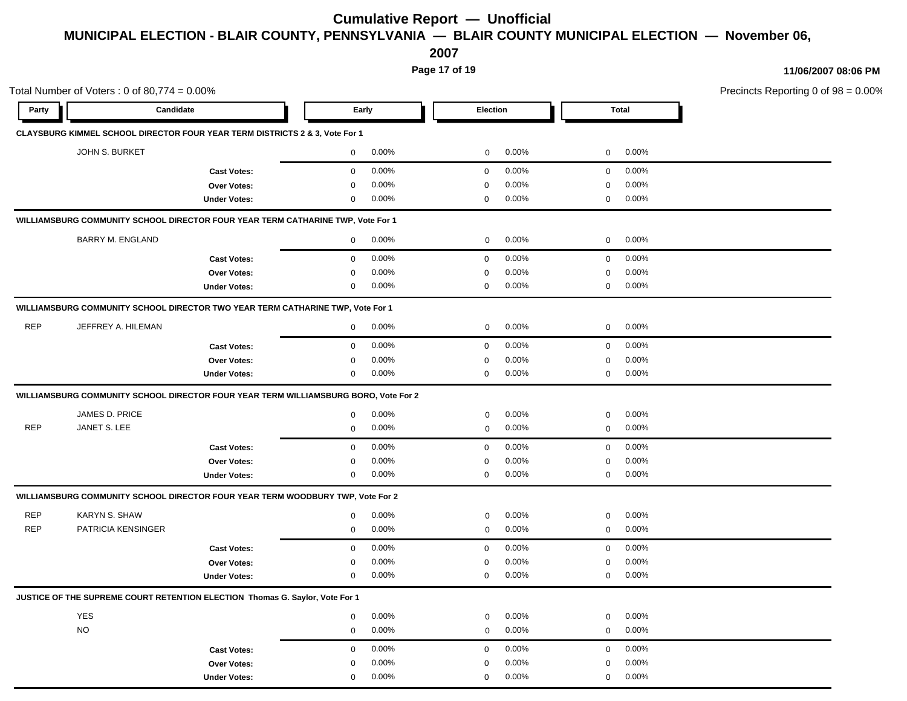**2007**

**Page 17 of 19**

**11/06/2007 08:06 PM**

Total Number of Voters : 0 of  $80.774 = 0.00\%$ Precincts Reporting 0 of 98 = 0.00% **Party Candidate Early Election Total CLAYSBURG KIMMEL SCHOOL DIRECTOR FOUR YEAR TERM DISTRICTS 2 & 3, Vote For 1** JOHN S. BURKET 0 0.00% 0 0.00% 0 0.00% **Cast Votes:** 0 0.00% 0 0.00% 0 0.00% **Over Votes:** 0 **Under Votes:** 0 0.00% 0.00% 0.00% 0 0.00% 0 0.00% 0.00% 0 0.00% 0.00% 0.00% **WILLIAMSBURG COMMUNITY SCHOOL DIRECTOR FOUR YEAR TERM CATHARINE TWP, Vote For 1** BARRY M. ENGLAND 0 0.00% 0 0.00% 0 0.00% **Cast Votes:** 0 0.00% 0 0.00% 0 0.00% **Over Votes:** 0 0.00% **Under Votes:** 0 0.00% 0 0.00% 0 0.00% 0 0.00% 0.00% 0 0.00% 0.00% 0.00% **WILLIAMSBURG COMMUNITY SCHOOL DIRECTOR TWO YEAR TERM CATHARINE TWP, Vote For 1** REP JEFFREY A. HILEMAN 0 0.00% 0 0.00% 0 0.00% **Cast Votes:** 0 0.00% 0 0.00% 0 0.00% **Over Votes:** 0 0.00% **Under Votes:** 0 0.00% 0 0.00% 0 0.00% 0 0.00% 0.00% 0 0.00% 0.00% 0.00% **WILLIAMSBURG COMMUNITY SCHOOL DIRECTOR FOUR YEAR TERM WILLIAMSBURG BORO, Vote For 2** JAMES D. PRICE 0 0.00% 0 0.00% 0 0.00% REP JANET S. LEE 0 0.00% 0 0.00% 0 0.00% **Cast Votes:** 0 0.00% 0 0.00% 0 0.00% **Over Votes:** 0 0.00% **Under Votes:** 0 0.00% 0 0.00% 0 0.00% 0 0.00% 0.00% 0 0.00% 0.00% 0.00% **WILLIAMSBURG COMMUNITY SCHOOL DIRECTOR FOUR YEAR TERM WOODBURY TWP, Vote For 2** REP KARYN S. SHAW 0 0.00% 0 0.00% 0 0.00% REP PATRICIA KENSINGER 0 0.00% 0 0.00% 0 0.00% **Cast Votes:** 0 0.00% 0 0.00% 0 0.00% **Over Votes:** 0 0.00% **Under Votes:** 0 0.00% 0  $0.00\%$  and  $0.00\%$  are  $0.00\%$  and  $0.00\%$ 0.00% 0 0.00% 0.00% 0.00% **JUSTICE OF THE SUPREME COURT RETENTION ELECTION Thomas G. Saylor, Vote For 1** YES 0 0.00% 0 0.00% 0 0.00% NO  $10^{10}$   $10^{10}$   $10^{10}$   $10^{10}$   $10^{10}$   $10^{10}$   $10^{10}$   $10^{10}$   $10^{10}$   $10^{10}$   $10^{10}$   $10^{10}$   $10^{10}$   $10^{10}$   $10^{10}$   $10^{10}$   $10^{10}$   $10^{10}$   $10^{10}$   $10^{10}$   $10^{10}$   $10^{10}$   $10^{10}$   $10^{10}$   $1$ **Cast Votes:** 0 0.00% 0 0.00% 0 0.00% **Over Votes:** 0 0.00% **Under Votes:** 0 0.00% 0 0.00% 0 0.00% 0 0.00% 0.00% 0 0.00% 0.00% 0.00%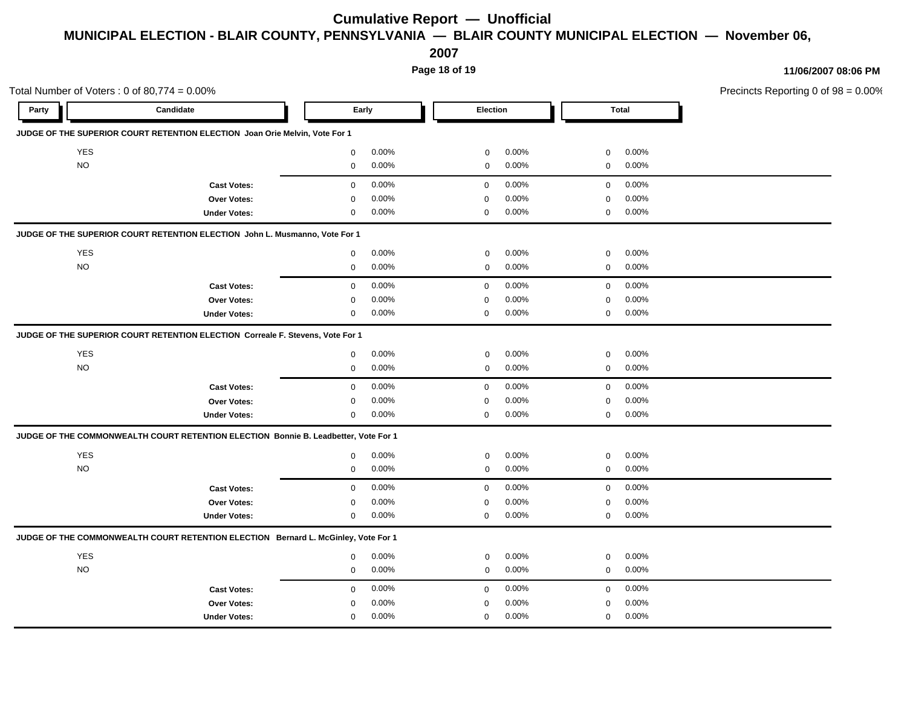**2007**

**Page 18 of 19**

|                    |            | Total Number of Voters: $0$ of 80,774 = $0.00\%$                                    |                            |                            |                            | Precincts Reporting 0 of 98 = 0.00% |  |
|--------------------|------------|-------------------------------------------------------------------------------------|----------------------------|----------------------------|----------------------------|-------------------------------------|--|
| Candidate<br>Party |            |                                                                                     | Early                      | Election                   | <b>Total</b>               |                                     |  |
|                    |            | JUDGE OF THE SUPERIOR COURT RETENTION ELECTION Joan Orie Melvin, Vote For 1         |                            |                            |                            |                                     |  |
|                    | <b>YES</b> |                                                                                     | 0.00%<br>$\mathbf 0$       | 0.00%<br>$\mathbf 0$       | 0.00%<br>$\mathbf 0$       |                                     |  |
|                    | $NO$       |                                                                                     | $0.00\%$<br>$\overline{0}$ | $0.00\%$<br>$\mathbf{0}$   | $0\qquad 0.00\%$           |                                     |  |
|                    |            | <b>Cast Votes:</b>                                                                  | $0.00\%$<br>$\mathbf 0$    | $0.00\%$<br>$\mathbf 0$    | 0.00%<br>$\mathbf 0$       |                                     |  |
|                    |            | Over Votes:                                                                         | 0.00%<br>$\Omega$          | 0.00%<br>0                 | 0.00%<br>$\mathbf 0$       |                                     |  |
|                    |            | <b>Under Votes:</b>                                                                 | $0.00\%$<br>$\mathbf 0$    | $0.00\%$<br>$\mathbf 0$    | $0$ 0.00%                  |                                     |  |
|                    |            | JUDGE OF THE SUPERIOR COURT RETENTION ELECTION John L. Musmanno, Vote For 1         |                            |                            |                            |                                     |  |
|                    | YES        |                                                                                     | 0.00%<br>$\mathbf 0$       | $0.00\%$<br>$\mathbf 0$    | $0.00\%$<br>$\overline{0}$ |                                     |  |
|                    | $NO$       |                                                                                     | $0.00\%$<br>$\overline{0}$ | $0.00\%$<br>$\mathbf 0$    | $0 0.00\%$                 |                                     |  |
|                    |            | <b>Cast Votes:</b>                                                                  | 0.00%<br>$\mathbf{0}$      | $0.00\%$<br>$\mathbf{0}$   | $0.00\%$<br>$\overline{0}$ |                                     |  |
|                    |            | Over Votes:                                                                         | 0.00%<br>0                 | 0.00%<br>$\mathbf 0$       | 0.00%<br>$\overline{0}$    |                                     |  |
|                    |            | <b>Under Votes:</b>                                                                 | $0.00\%$<br>$\mathbf 0$    | $0.00\%$<br>$\mathbf 0$    | $0 0.00\%$                 |                                     |  |
|                    |            | JUDGE OF THE SUPERIOR COURT RETENTION ELECTION Correale F. Stevens, Vote For 1      |                            |                            |                            |                                     |  |
|                    | YES        |                                                                                     | 0.00%<br>$\mathbf{0}$      | $0.00\%$<br>$\mathbf 0$    | $0.00\%$<br>$\mathbf 0$    |                                     |  |
|                    | $NO$       |                                                                                     | $0.00\%$<br>$\overline{0}$ | 0.00%<br>$\overline{0}$    | $0\qquad 0.00\%$           |                                     |  |
|                    |            | <b>Cast Votes:</b>                                                                  | 0.00%<br>$\mathbf 0$       | $0.00\%$<br>$\overline{0}$ | 0.00%<br>$\overline{0}$    |                                     |  |
|                    |            | Over Votes:                                                                         | 0.00%<br>$\Omega$          | 0.00%<br>$\mathbf 0$       | 0.00%<br>$\overline{0}$    |                                     |  |
|                    |            | <b>Under Votes:</b>                                                                 | $0.00\%$<br>$\mathbf 0$    | $0.00\%$<br>0              | $0$ 0.00%                  |                                     |  |
|                    |            | JUDGE OF THE COMMONWEALTH COURT RETENTION ELECTION Bonnie B. Leadbetter, Vote For 1 |                            |                            |                            |                                     |  |
|                    | YES        |                                                                                     | $0.00\%$<br>$\overline{0}$ | 0.00%<br>$\mathbf 0$       | 0.00%<br>$\overline{0}$    |                                     |  |
|                    | $NO$       |                                                                                     | $0.00\%$<br>$\overline{0}$ | $0.00\%$<br>$\mathbf 0$    | $0\quad 0.00\%$            |                                     |  |
|                    |            | <b>Cast Votes:</b>                                                                  | 0.00%<br>$\mathbf 0$       | 0.00%<br>$\overline{0}$    | 0.00%<br>$\overline{0}$    |                                     |  |
|                    |            | Over Votes:                                                                         | 0.00%<br>$\mathbf{0}$      | 0.00%<br>0                 | 0.00%<br>$\mathbf 0$       |                                     |  |
|                    |            | <b>Under Votes:</b>                                                                 | $0.00\%$<br>$\mathbf{0}$   | $0.00\%$<br>$\mathbf{0}$   | $0 0.00\%$                 |                                     |  |
|                    |            | JUDGE OF THE COMMONWEALTH COURT RETENTION ELECTION Bernard L. McGinley, Vote For 1  |                            |                            |                            |                                     |  |
|                    | YES        |                                                                                     | $0.00\%$<br>$\mathbf 0$    | 0.00%<br>$\mathbf 0$       | 0.00%<br>$\mathbf 0$       |                                     |  |
|                    | $NO$       |                                                                                     | $0.00\%$<br>$\overline{0}$ | $0.00\%$<br>$\overline{0}$ | $0\qquad 0.00\%$           |                                     |  |
|                    |            | <b>Cast Votes:</b>                                                                  | 0.00%<br>$\mathbf 0$       | $0.00\%$<br>$\overline{0}$ | $0.00\%$<br>$\mathbf 0$    |                                     |  |
|                    |            | Over Votes:                                                                         | 0.00%<br>0                 | 0.00%<br>$\Omega$          | 0.00%<br>$\Omega$          |                                     |  |
|                    |            | <b>Under Votes:</b>                                                                 | 0.00%<br>$\mathbf 0$       | 0.00%<br>$\mathbf 0$       | $0$ 0.00%                  |                                     |  |